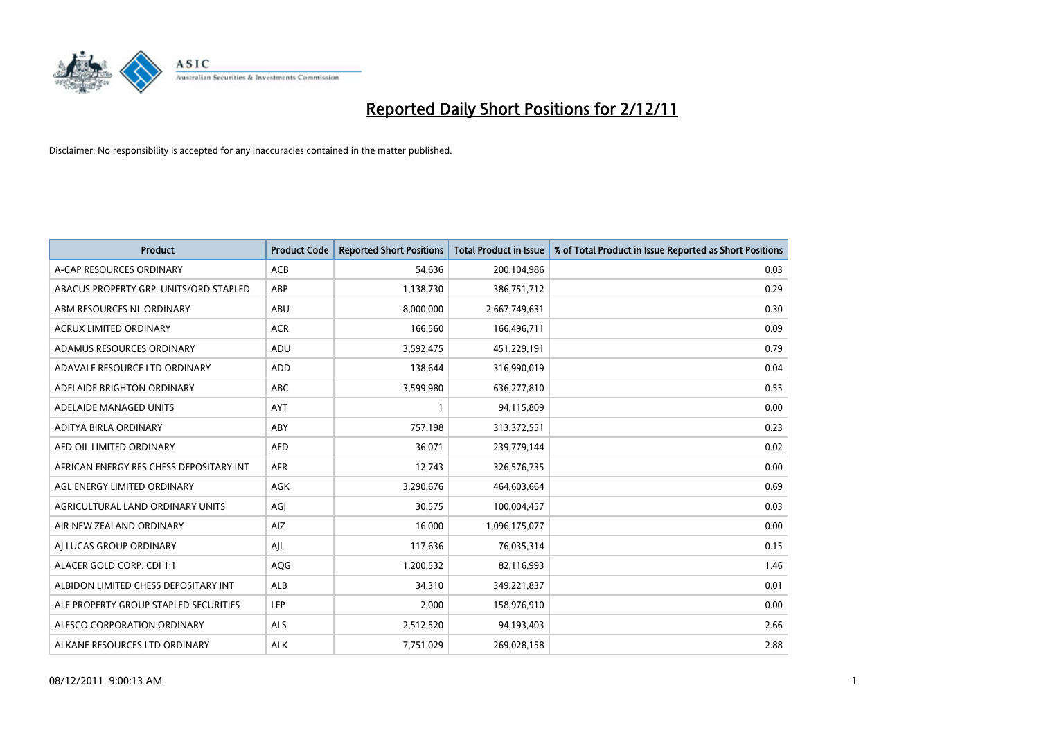

| <b>Product</b>                          | <b>Product Code</b> | <b>Reported Short Positions</b> | <b>Total Product in Issue</b> | % of Total Product in Issue Reported as Short Positions |
|-----------------------------------------|---------------------|---------------------------------|-------------------------------|---------------------------------------------------------|
| A-CAP RESOURCES ORDINARY                | <b>ACB</b>          | 54,636                          | 200,104,986                   | 0.03                                                    |
| ABACUS PROPERTY GRP. UNITS/ORD STAPLED  | ABP                 | 1,138,730                       | 386,751,712                   | 0.29                                                    |
| ABM RESOURCES NL ORDINARY               | <b>ABU</b>          | 8,000,000                       | 2,667,749,631                 | 0.30                                                    |
| ACRUX LIMITED ORDINARY                  | <b>ACR</b>          | 166,560                         | 166,496,711                   | 0.09                                                    |
| ADAMUS RESOURCES ORDINARY               | ADU                 | 3,592,475                       | 451,229,191                   | 0.79                                                    |
| ADAVALE RESOURCE LTD ORDINARY           | ADD                 | 138,644                         | 316,990,019                   | 0.04                                                    |
| ADELAIDE BRIGHTON ORDINARY              | <b>ABC</b>          | 3,599,980                       | 636,277,810                   | 0.55                                                    |
| ADELAIDE MANAGED UNITS                  | <b>AYT</b>          |                                 | 94,115,809                    | 0.00                                                    |
| ADITYA BIRLA ORDINARY                   | ABY                 | 757,198                         | 313,372,551                   | 0.23                                                    |
| AED OIL LIMITED ORDINARY                | <b>AED</b>          | 36,071                          | 239,779,144                   | 0.02                                                    |
| AFRICAN ENERGY RES CHESS DEPOSITARY INT | <b>AFR</b>          | 12,743                          | 326,576,735                   | 0.00                                                    |
| AGL ENERGY LIMITED ORDINARY             | <b>AGK</b>          | 3,290,676                       | 464,603,664                   | 0.69                                                    |
| AGRICULTURAL LAND ORDINARY UNITS        | AGI                 | 30,575                          | 100,004,457                   | 0.03                                                    |
| AIR NEW ZEALAND ORDINARY                | AIZ                 | 16,000                          | 1,096,175,077                 | 0.00                                                    |
| AI LUCAS GROUP ORDINARY                 | AJL                 | 117,636                         | 76,035,314                    | 0.15                                                    |
| ALACER GOLD CORP. CDI 1:1               | <b>AQG</b>          | 1,200,532                       | 82,116,993                    | 1.46                                                    |
| ALBIDON LIMITED CHESS DEPOSITARY INT    | <b>ALB</b>          | 34,310                          | 349,221,837                   | 0.01                                                    |
| ALE PROPERTY GROUP STAPLED SECURITIES   | LEP                 | 2,000                           | 158,976,910                   | 0.00                                                    |
| ALESCO CORPORATION ORDINARY             | <b>ALS</b>          | 2,512,520                       | 94,193,403                    | 2.66                                                    |
| ALKANE RESOURCES LTD ORDINARY           | <b>ALK</b>          | 7,751,029                       | 269,028,158                   | 2.88                                                    |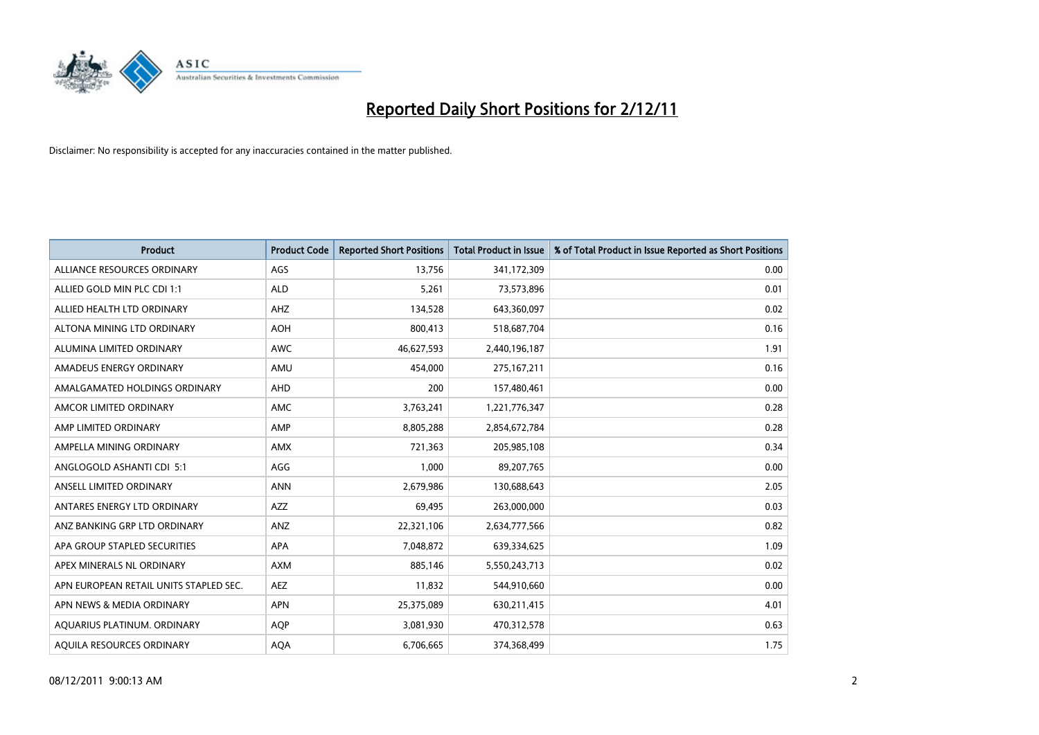

| <b>Product</b>                         | <b>Product Code</b> | <b>Reported Short Positions</b> | <b>Total Product in Issue</b> | % of Total Product in Issue Reported as Short Positions |
|----------------------------------------|---------------------|---------------------------------|-------------------------------|---------------------------------------------------------|
| ALLIANCE RESOURCES ORDINARY            | AGS                 | 13.756                          | 341,172,309                   | 0.00                                                    |
| ALLIED GOLD MIN PLC CDI 1:1            | <b>ALD</b>          | 5,261                           | 73,573,896                    | 0.01                                                    |
| ALLIED HEALTH LTD ORDINARY             | AHZ                 | 134,528                         | 643,360,097                   | 0.02                                                    |
| ALTONA MINING LTD ORDINARY             | <b>AOH</b>          | 800,413                         | 518,687,704                   | 0.16                                                    |
| ALUMINA LIMITED ORDINARY               | <b>AWC</b>          | 46,627,593                      | 2,440,196,187                 | 1.91                                                    |
| AMADEUS ENERGY ORDINARY                | AMU                 | 454,000                         | 275, 167, 211                 | 0.16                                                    |
| AMALGAMATED HOLDINGS ORDINARY          | <b>AHD</b>          | 200                             | 157,480,461                   | 0.00                                                    |
| AMCOR LIMITED ORDINARY                 | AMC                 | 3,763,241                       | 1,221,776,347                 | 0.28                                                    |
| AMP LIMITED ORDINARY                   | AMP                 | 8,805,288                       | 2,854,672,784                 | 0.28                                                    |
| AMPELLA MINING ORDINARY                | <b>AMX</b>          | 721,363                         | 205,985,108                   | 0.34                                                    |
| ANGLOGOLD ASHANTI CDI 5:1              | AGG                 | 1,000                           | 89,207,765                    | 0.00                                                    |
| ANSELL LIMITED ORDINARY                | <b>ANN</b>          | 2,679,986                       | 130,688,643                   | 2.05                                                    |
| ANTARES ENERGY LTD ORDINARY            | <b>AZZ</b>          | 69,495                          | 263,000,000                   | 0.03                                                    |
| ANZ BANKING GRP LTD ORDINARY           | ANZ                 | 22,321,106                      | 2,634,777,566                 | 0.82                                                    |
| APA GROUP STAPLED SECURITIES           | <b>APA</b>          | 7,048,872                       | 639,334,625                   | 1.09                                                    |
| APEX MINERALS NL ORDINARY              | <b>AXM</b>          | 885,146                         | 5,550,243,713                 | 0.02                                                    |
| APN EUROPEAN RETAIL UNITS STAPLED SEC. | <b>AEZ</b>          | 11,832                          | 544,910,660                   | 0.00                                                    |
| APN NEWS & MEDIA ORDINARY              | <b>APN</b>          | 25,375,089                      | 630,211,415                   | 4.01                                                    |
| AQUARIUS PLATINUM. ORDINARY            | <b>AOP</b>          | 3,081,930                       | 470,312,578                   | 0.63                                                    |
| AQUILA RESOURCES ORDINARY              | <b>AQA</b>          | 6,706,665                       | 374,368,499                   | 1.75                                                    |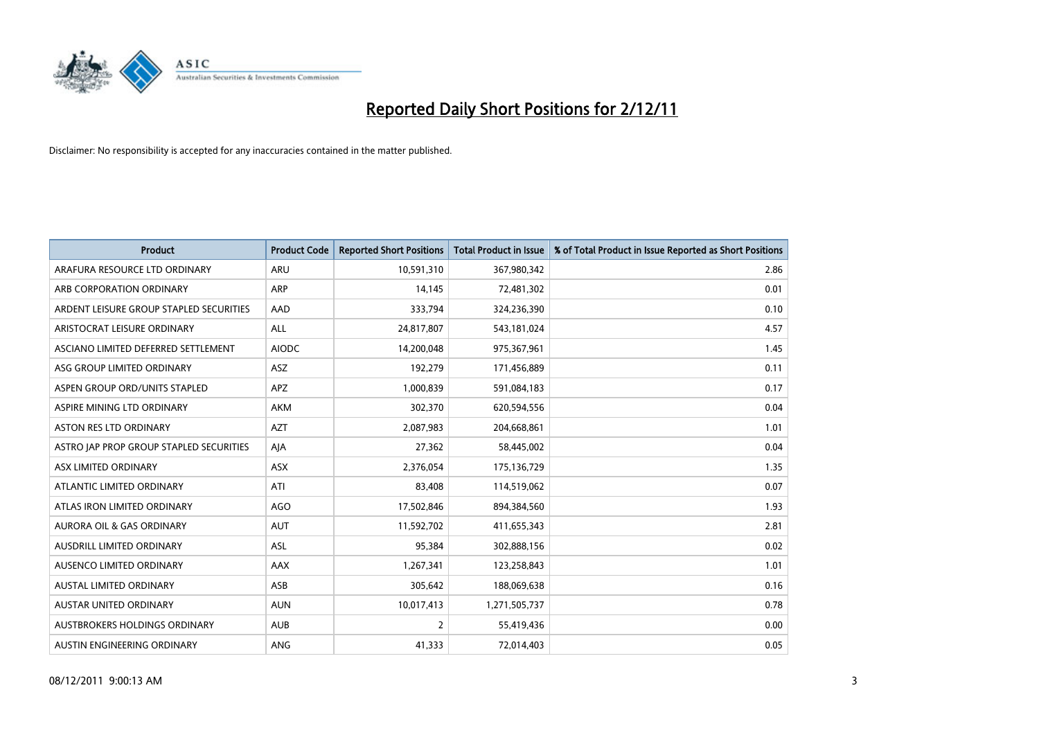

| <b>Product</b>                          | <b>Product Code</b> | <b>Reported Short Positions</b> | <b>Total Product in Issue</b> | % of Total Product in Issue Reported as Short Positions |
|-----------------------------------------|---------------------|---------------------------------|-------------------------------|---------------------------------------------------------|
| ARAFURA RESOURCE LTD ORDINARY           | <b>ARU</b>          | 10,591,310                      | 367,980,342                   | 2.86                                                    |
| ARB CORPORATION ORDINARY                | <b>ARP</b>          | 14,145                          | 72,481,302                    | 0.01                                                    |
| ARDENT LEISURE GROUP STAPLED SECURITIES | AAD                 | 333,794                         | 324,236,390                   | 0.10                                                    |
| ARISTOCRAT LEISURE ORDINARY             | <b>ALL</b>          | 24,817,807                      | 543,181,024                   | 4.57                                                    |
| ASCIANO LIMITED DEFERRED SETTLEMENT     | <b>AIODC</b>        | 14,200,048                      | 975,367,961                   | 1.45                                                    |
| ASG GROUP LIMITED ORDINARY              | <b>ASZ</b>          | 192,279                         | 171,456,889                   | 0.11                                                    |
| ASPEN GROUP ORD/UNITS STAPLED           | APZ                 | 1,000,839                       | 591,084,183                   | 0.17                                                    |
| ASPIRE MINING LTD ORDINARY              | <b>AKM</b>          | 302,370                         | 620,594,556                   | 0.04                                                    |
| ASTON RES LTD ORDINARY                  | <b>AZT</b>          | 2,087,983                       | 204,668,861                   | 1.01                                                    |
| ASTRO JAP PROP GROUP STAPLED SECURITIES | AJA                 | 27,362                          | 58,445,002                    | 0.04                                                    |
| ASX LIMITED ORDINARY                    | <b>ASX</b>          | 2,376,054                       | 175,136,729                   | 1.35                                                    |
| ATLANTIC LIMITED ORDINARY               | ATI                 | 83,408                          | 114,519,062                   | 0.07                                                    |
| ATLAS IRON LIMITED ORDINARY             | AGO                 | 17,502,846                      | 894,384,560                   | 1.93                                                    |
| <b>AURORA OIL &amp; GAS ORDINARY</b>    | <b>AUT</b>          | 11,592,702                      | 411,655,343                   | 2.81                                                    |
| AUSDRILL LIMITED ORDINARY               | <b>ASL</b>          | 95,384                          | 302,888,156                   | 0.02                                                    |
| AUSENCO LIMITED ORDINARY                | AAX                 | 1,267,341                       | 123,258,843                   | 1.01                                                    |
| <b>AUSTAL LIMITED ORDINARY</b>          | ASB                 | 305,642                         | 188,069,638                   | 0.16                                                    |
| AUSTAR UNITED ORDINARY                  | <b>AUN</b>          | 10,017,413                      | 1,271,505,737                 | 0.78                                                    |
| AUSTBROKERS HOLDINGS ORDINARY           | <b>AUB</b>          | 2                               | 55,419,436                    | 0.00                                                    |
| AUSTIN ENGINEERING ORDINARY             | <b>ANG</b>          | 41,333                          | 72,014,403                    | 0.05                                                    |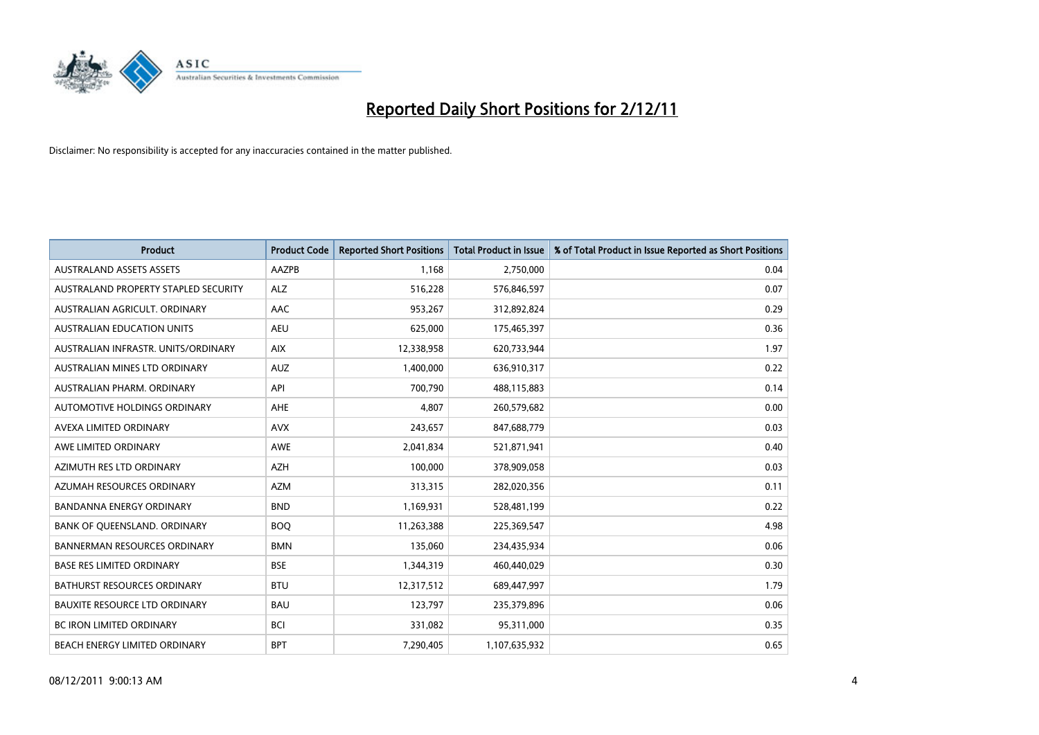

| <b>Product</b>                       | <b>Product Code</b> | <b>Reported Short Positions</b> | <b>Total Product in Issue</b> | % of Total Product in Issue Reported as Short Positions |
|--------------------------------------|---------------------|---------------------------------|-------------------------------|---------------------------------------------------------|
| <b>AUSTRALAND ASSETS ASSETS</b>      | <b>AAZPB</b>        | 1,168                           | 2,750,000                     | 0.04                                                    |
| AUSTRALAND PROPERTY STAPLED SECURITY | <b>ALZ</b>          | 516,228                         | 576,846,597                   | 0.07                                                    |
| AUSTRALIAN AGRICULT, ORDINARY        | AAC                 | 953,267                         | 312,892,824                   | 0.29                                                    |
| AUSTRALIAN EDUCATION UNITS           | <b>AEU</b>          | 625,000                         | 175,465,397                   | 0.36                                                    |
| AUSTRALIAN INFRASTR, UNITS/ORDINARY  | <b>AIX</b>          | 12,338,958                      | 620,733,944                   | 1.97                                                    |
| AUSTRALIAN MINES LTD ORDINARY        | <b>AUZ</b>          | 1,400,000                       | 636,910,317                   | 0.22                                                    |
| AUSTRALIAN PHARM, ORDINARY           | API                 | 700.790                         | 488,115,883                   | 0.14                                                    |
| <b>AUTOMOTIVE HOLDINGS ORDINARY</b>  | AHE                 | 4,807                           | 260,579,682                   | 0.00                                                    |
| AVEXA LIMITED ORDINARY               | <b>AVX</b>          | 243,657                         | 847,688,779                   | 0.03                                                    |
| AWE LIMITED ORDINARY                 | <b>AWE</b>          | 2,041,834                       | 521,871,941                   | 0.40                                                    |
| AZIMUTH RES LTD ORDINARY             | <b>AZH</b>          | 100,000                         | 378,909,058                   | 0.03                                                    |
| AZUMAH RESOURCES ORDINARY            | <b>AZM</b>          | 313,315                         | 282,020,356                   | 0.11                                                    |
| <b>BANDANNA ENERGY ORDINARY</b>      | <b>BND</b>          | 1,169,931                       | 528,481,199                   | 0.22                                                    |
| BANK OF QUEENSLAND. ORDINARY         | <b>BOQ</b>          | 11,263,388                      | 225,369,547                   | 4.98                                                    |
| <b>BANNERMAN RESOURCES ORDINARY</b>  | <b>BMN</b>          | 135,060                         | 234,435,934                   | 0.06                                                    |
| <b>BASE RES LIMITED ORDINARY</b>     | <b>BSE</b>          | 1,344,319                       | 460,440,029                   | 0.30                                                    |
| <b>BATHURST RESOURCES ORDINARY</b>   | <b>BTU</b>          | 12,317,512                      | 689,447,997                   | 1.79                                                    |
| <b>BAUXITE RESOURCE LTD ORDINARY</b> | <b>BAU</b>          | 123,797                         | 235,379,896                   | 0.06                                                    |
| <b>BC IRON LIMITED ORDINARY</b>      | <b>BCI</b>          | 331,082                         | 95,311,000                    | 0.35                                                    |
| <b>BEACH ENERGY LIMITED ORDINARY</b> | <b>BPT</b>          | 7,290,405                       | 1,107,635,932                 | 0.65                                                    |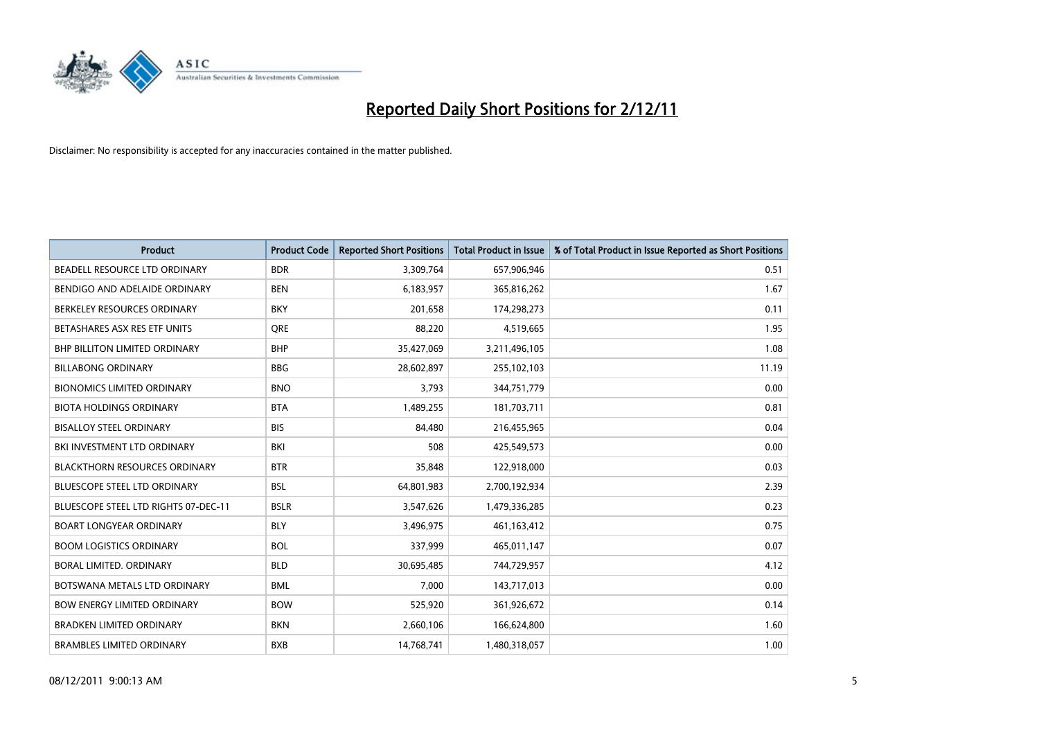

| <b>Product</b>                       | <b>Product Code</b> | <b>Reported Short Positions</b> | <b>Total Product in Issue</b> | % of Total Product in Issue Reported as Short Positions |
|--------------------------------------|---------------------|---------------------------------|-------------------------------|---------------------------------------------------------|
| BEADELL RESOURCE LTD ORDINARY        | <b>BDR</b>          | 3,309,764                       | 657,906,946                   | 0.51                                                    |
| BENDIGO AND ADELAIDE ORDINARY        | <b>BEN</b>          | 6,183,957                       | 365,816,262                   | 1.67                                                    |
| BERKELEY RESOURCES ORDINARY          | <b>BKY</b>          | 201,658                         | 174,298,273                   | 0.11                                                    |
| BETASHARES ASX RES ETF UNITS         | <b>ORE</b>          | 88,220                          | 4,519,665                     | 1.95                                                    |
| <b>BHP BILLITON LIMITED ORDINARY</b> | <b>BHP</b>          | 35,427,069                      | 3,211,496,105                 | 1.08                                                    |
| <b>BILLABONG ORDINARY</b>            | <b>BBG</b>          | 28,602,897                      | 255,102,103                   | 11.19                                                   |
| <b>BIONOMICS LIMITED ORDINARY</b>    | <b>BNO</b>          | 3,793                           | 344,751,779                   | 0.00                                                    |
| <b>BIOTA HOLDINGS ORDINARY</b>       | <b>BTA</b>          | 1,489,255                       | 181,703,711                   | 0.81                                                    |
| <b>BISALLOY STEEL ORDINARY</b>       | <b>BIS</b>          | 84,480                          | 216,455,965                   | 0.04                                                    |
| BKI INVESTMENT LTD ORDINARY          | BKI                 | 508                             | 425,549,573                   | 0.00                                                    |
| <b>BLACKTHORN RESOURCES ORDINARY</b> | <b>BTR</b>          | 35,848                          | 122,918,000                   | 0.03                                                    |
| BLUESCOPE STEEL LTD ORDINARY         | <b>BSL</b>          | 64,801,983                      | 2,700,192,934                 | 2.39                                                    |
| BLUESCOPE STEEL LTD RIGHTS 07-DEC-11 | <b>BSLR</b>         | 3,547,626                       | 1,479,336,285                 | 0.23                                                    |
| <b>BOART LONGYEAR ORDINARY</b>       | <b>BLY</b>          | 3,496,975                       | 461,163,412                   | 0.75                                                    |
| <b>BOOM LOGISTICS ORDINARY</b>       | <b>BOL</b>          | 337,999                         | 465,011,147                   | 0.07                                                    |
| <b>BORAL LIMITED, ORDINARY</b>       | <b>BLD</b>          | 30,695,485                      | 744,729,957                   | 4.12                                                    |
| BOTSWANA METALS LTD ORDINARY         | <b>BML</b>          | 7,000                           | 143,717,013                   | 0.00                                                    |
| <b>BOW ENERGY LIMITED ORDINARY</b>   | <b>BOW</b>          | 525,920                         | 361,926,672                   | 0.14                                                    |
| <b>BRADKEN LIMITED ORDINARY</b>      | <b>BKN</b>          | 2,660,106                       | 166,624,800                   | 1.60                                                    |
| <b>BRAMBLES LIMITED ORDINARY</b>     | <b>BXB</b>          | 14,768,741                      | 1,480,318,057                 | 1.00                                                    |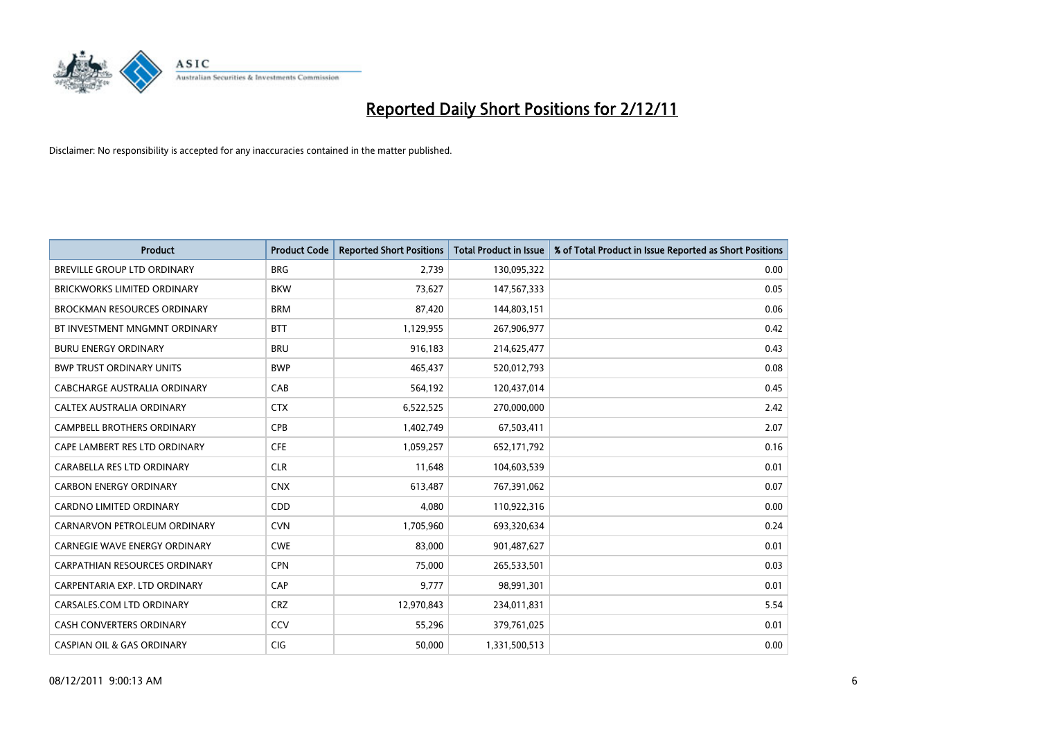

| <b>Product</b>                        | <b>Product Code</b> | <b>Reported Short Positions</b> | <b>Total Product in Issue</b> | % of Total Product in Issue Reported as Short Positions |
|---------------------------------------|---------------------|---------------------------------|-------------------------------|---------------------------------------------------------|
| <b>BREVILLE GROUP LTD ORDINARY</b>    | <b>BRG</b>          | 2,739                           | 130,095,322                   | 0.00                                                    |
| <b>BRICKWORKS LIMITED ORDINARY</b>    | <b>BKW</b>          | 73,627                          | 147,567,333                   | 0.05                                                    |
| <b>BROCKMAN RESOURCES ORDINARY</b>    | <b>BRM</b>          | 87,420                          | 144,803,151                   | 0.06                                                    |
| BT INVESTMENT MNGMNT ORDINARY         | <b>BTT</b>          | 1,129,955                       | 267,906,977                   | 0.42                                                    |
| <b>BURU ENERGY ORDINARY</b>           | <b>BRU</b>          | 916,183                         | 214,625,477                   | 0.43                                                    |
| <b>BWP TRUST ORDINARY UNITS</b>       | <b>BWP</b>          | 465,437                         | 520,012,793                   | 0.08                                                    |
| CABCHARGE AUSTRALIA ORDINARY          | CAB                 | 564,192                         | 120,437,014                   | 0.45                                                    |
| CALTEX AUSTRALIA ORDINARY             | <b>CTX</b>          | 6,522,525                       | 270,000,000                   | 2.42                                                    |
| CAMPBELL BROTHERS ORDINARY            | <b>CPB</b>          | 1,402,749                       | 67,503,411                    | 2.07                                                    |
| CAPE LAMBERT RES LTD ORDINARY         | <b>CFE</b>          | 1,059,257                       | 652,171,792                   | 0.16                                                    |
| CARABELLA RES LTD ORDINARY            | <b>CLR</b>          | 11,648                          | 104,603,539                   | 0.01                                                    |
| <b>CARBON ENERGY ORDINARY</b>         | <b>CNX</b>          | 613,487                         | 767,391,062                   | 0.07                                                    |
| <b>CARDNO LIMITED ORDINARY</b>        | CDD                 | 4.080                           | 110,922,316                   | 0.00                                                    |
| CARNARVON PETROLEUM ORDINARY          | <b>CVN</b>          | 1,705,960                       | 693,320,634                   | 0.24                                                    |
| <b>CARNEGIE WAVE ENERGY ORDINARY</b>  | <b>CWE</b>          | 83,000                          | 901,487,627                   | 0.01                                                    |
| CARPATHIAN RESOURCES ORDINARY         | <b>CPN</b>          | 75,000                          | 265,533,501                   | 0.03                                                    |
| CARPENTARIA EXP. LTD ORDINARY         | CAP                 | 9,777                           | 98,991,301                    | 0.01                                                    |
| CARSALES.COM LTD ORDINARY             | <b>CRZ</b>          | 12,970,843                      | 234,011,831                   | 5.54                                                    |
| <b>CASH CONVERTERS ORDINARY</b>       | CCV                 | 55,296                          | 379,761,025                   | 0.01                                                    |
| <b>CASPIAN OIL &amp; GAS ORDINARY</b> | <b>CIG</b>          | 50.000                          | 1,331,500,513                 | 0.00                                                    |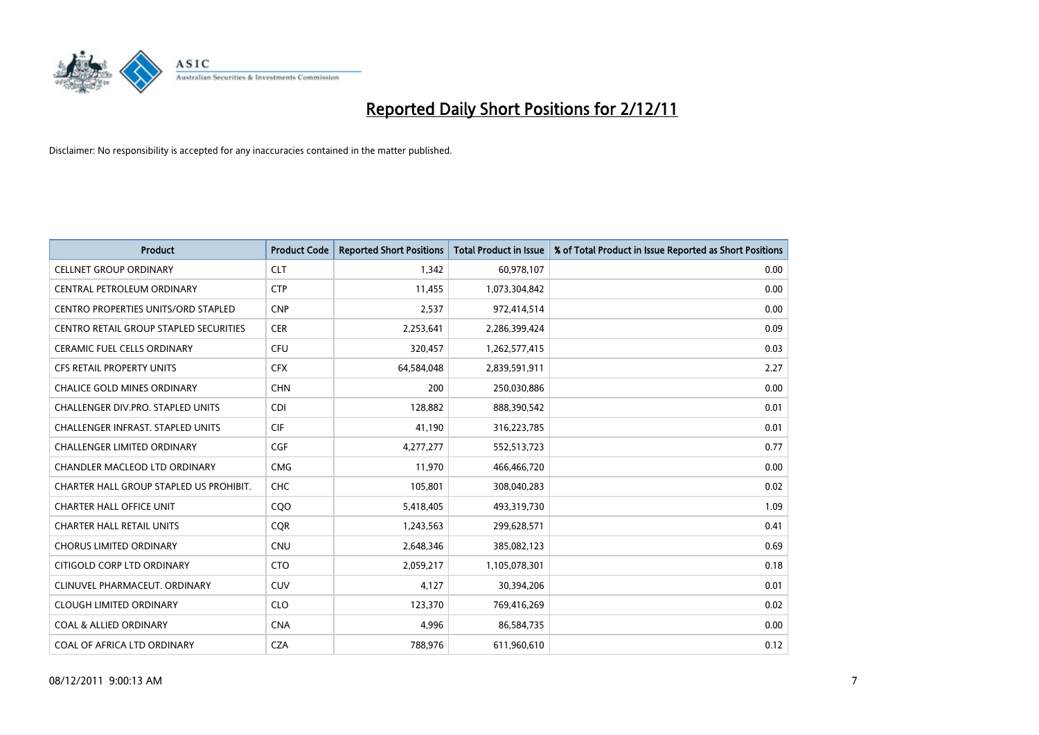

| <b>Product</b>                          | <b>Product Code</b> | <b>Reported Short Positions</b> | <b>Total Product in Issue</b> | % of Total Product in Issue Reported as Short Positions |
|-----------------------------------------|---------------------|---------------------------------|-------------------------------|---------------------------------------------------------|
| <b>CELLNET GROUP ORDINARY</b>           | <b>CLT</b>          | 1,342                           | 60,978,107                    | 0.00                                                    |
| CENTRAL PETROLEUM ORDINARY              | <b>CTP</b>          | 11,455                          | 1,073,304,842                 | 0.00                                                    |
| CENTRO PROPERTIES UNITS/ORD STAPLED     | <b>CNP</b>          | 2,537                           | 972,414,514                   | 0.00                                                    |
| CENTRO RETAIL GROUP STAPLED SECURITIES  | <b>CER</b>          | 2,253,641                       | 2,286,399,424                 | 0.09                                                    |
| <b>CERAMIC FUEL CELLS ORDINARY</b>      | <b>CFU</b>          | 320,457                         | 1,262,577,415                 | 0.03                                                    |
| <b>CFS RETAIL PROPERTY UNITS</b>        | <b>CFX</b>          | 64,584,048                      | 2,839,591,911                 | 2.27                                                    |
| <b>CHALICE GOLD MINES ORDINARY</b>      | <b>CHN</b>          | 200                             | 250,030,886                   | 0.00                                                    |
| CHALLENGER DIV.PRO. STAPLED UNITS       | <b>CDI</b>          | 128,882                         | 888,390,542                   | 0.01                                                    |
| CHALLENGER INFRAST. STAPLED UNITS       | <b>CIF</b>          | 41,190                          | 316,223,785                   | 0.01                                                    |
| <b>CHALLENGER LIMITED ORDINARY</b>      | CGF                 | 4,277,277                       | 552,513,723                   | 0.77                                                    |
| CHANDLER MACLEOD LTD ORDINARY           | <b>CMG</b>          | 11,970                          | 466,466,720                   | 0.00                                                    |
| CHARTER HALL GROUP STAPLED US PROHIBIT. | <b>CHC</b>          | 105,801                         | 308,040,283                   | 0.02                                                    |
| <b>CHARTER HALL OFFICE UNIT</b>         | COO                 | 5,418,405                       | 493,319,730                   | 1.09                                                    |
| <b>CHARTER HALL RETAIL UNITS</b>        | <b>COR</b>          | 1,243,563                       | 299,628,571                   | 0.41                                                    |
| <b>CHORUS LIMITED ORDINARY</b>          | <b>CNU</b>          | 2,648,346                       | 385,082,123                   | 0.69                                                    |
| CITIGOLD CORP LTD ORDINARY              | <b>CTO</b>          | 2,059,217                       | 1,105,078,301                 | 0.18                                                    |
| CLINUVEL PHARMACEUT, ORDINARY           | CUV                 | 4,127                           | 30,394,206                    | 0.01                                                    |
| <b>CLOUGH LIMITED ORDINARY</b>          | <b>CLO</b>          | 123,370                         | 769,416,269                   | 0.02                                                    |
| <b>COAL &amp; ALLIED ORDINARY</b>       | <b>CNA</b>          | 4,996                           | 86,584,735                    | 0.00                                                    |
| COAL OF AFRICA LTD ORDINARY             | <b>CZA</b>          | 788,976                         | 611,960,610                   | 0.12                                                    |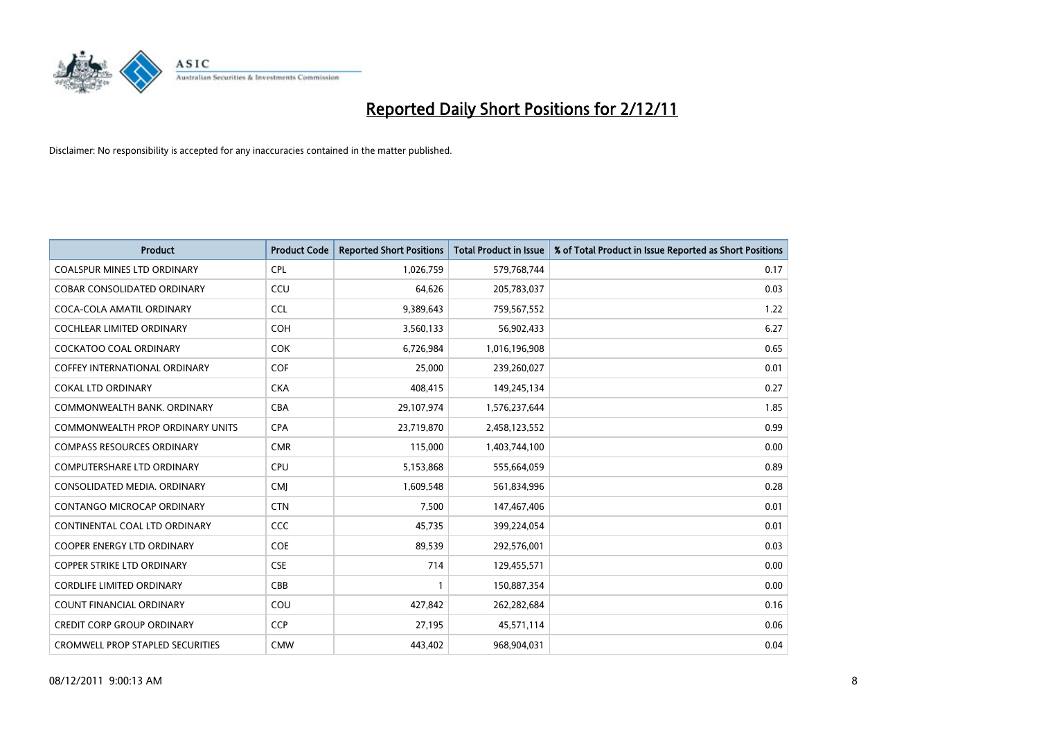

| <b>Product</b>                          | <b>Product Code</b> | <b>Reported Short Positions</b> | <b>Total Product in Issue</b> | % of Total Product in Issue Reported as Short Positions |
|-----------------------------------------|---------------------|---------------------------------|-------------------------------|---------------------------------------------------------|
| <b>COALSPUR MINES LTD ORDINARY</b>      | <b>CPL</b>          | 1,026,759                       | 579,768,744                   | 0.17                                                    |
| <b>COBAR CONSOLIDATED ORDINARY</b>      | CCU                 | 64.626                          | 205,783,037                   | 0.03                                                    |
| COCA-COLA AMATIL ORDINARY               | <b>CCL</b>          | 9,389,643                       | 759,567,552                   | 1.22                                                    |
| COCHLEAR LIMITED ORDINARY               | <b>COH</b>          | 3,560,133                       | 56,902,433                    | 6.27                                                    |
| <b>COCKATOO COAL ORDINARY</b>           | <b>COK</b>          | 6,726,984                       | 1,016,196,908                 | 0.65                                                    |
| <b>COFFEY INTERNATIONAL ORDINARY</b>    | <b>COF</b>          | 25,000                          | 239,260,027                   | 0.01                                                    |
| <b>COKAL LTD ORDINARY</b>               | <b>CKA</b>          | 408.415                         | 149,245,134                   | 0.27                                                    |
| COMMONWEALTH BANK, ORDINARY             | CBA                 | 29,107,974                      | 1,576,237,644                 | 1.85                                                    |
| <b>COMMONWEALTH PROP ORDINARY UNITS</b> | <b>CPA</b>          | 23,719,870                      | 2,458,123,552                 | 0.99                                                    |
| <b>COMPASS RESOURCES ORDINARY</b>       | <b>CMR</b>          | 115,000                         | 1,403,744,100                 | 0.00                                                    |
| <b>COMPUTERSHARE LTD ORDINARY</b>       | CPU                 | 5,153,868                       | 555,664,059                   | 0.89                                                    |
| CONSOLIDATED MEDIA, ORDINARY            | <b>CMI</b>          | 1,609,548                       | 561,834,996                   | 0.28                                                    |
| <b>CONTANGO MICROCAP ORDINARY</b>       | <b>CTN</b>          | 7,500                           | 147,467,406                   | 0.01                                                    |
| CONTINENTAL COAL LTD ORDINARY           | CCC                 | 45.735                          | 399,224,054                   | 0.01                                                    |
| <b>COOPER ENERGY LTD ORDINARY</b>       | <b>COE</b>          | 89,539                          | 292,576,001                   | 0.03                                                    |
| <b>COPPER STRIKE LTD ORDINARY</b>       | <b>CSE</b>          | 714                             | 129,455,571                   | 0.00                                                    |
| <b>CORDLIFE LIMITED ORDINARY</b>        | CBB                 |                                 | 150,887,354                   | 0.00                                                    |
| COUNT FINANCIAL ORDINARY                | COU                 | 427,842                         | 262,282,684                   | 0.16                                                    |
| <b>CREDIT CORP GROUP ORDINARY</b>       | <b>CCP</b>          | 27,195                          | 45,571,114                    | 0.06                                                    |
| <b>CROMWELL PROP STAPLED SECURITIES</b> | <b>CMW</b>          | 443.402                         | 968,904,031                   | 0.04                                                    |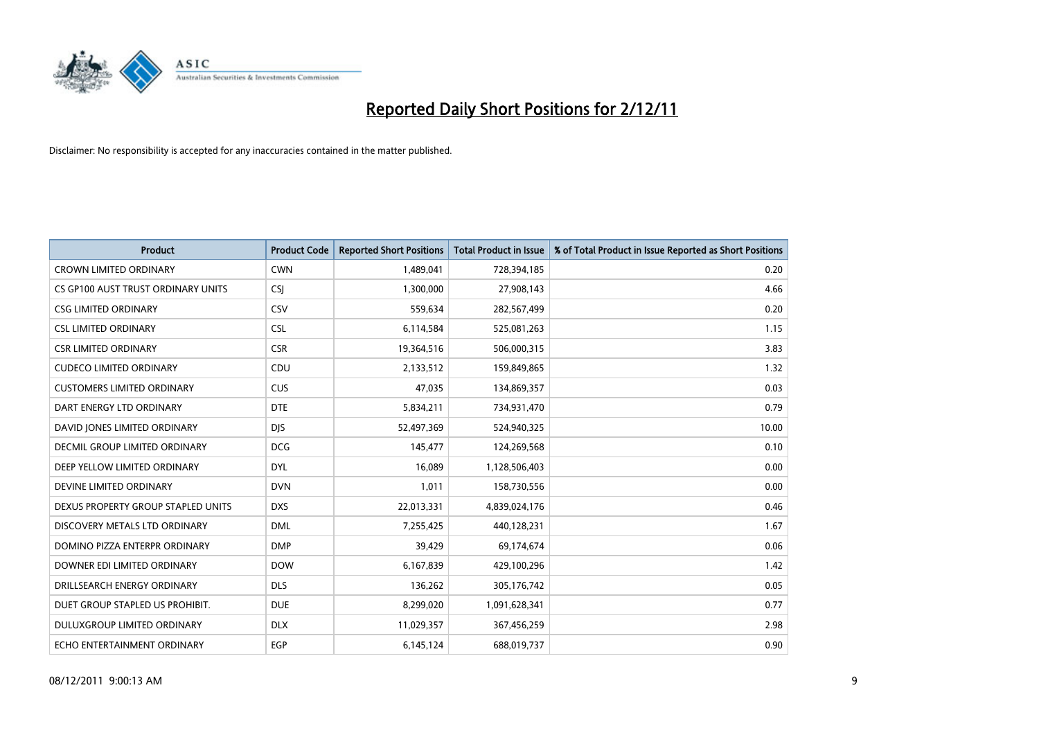

| <b>Product</b>                       | <b>Product Code</b> | <b>Reported Short Positions</b> | <b>Total Product in Issue</b> | % of Total Product in Issue Reported as Short Positions |
|--------------------------------------|---------------------|---------------------------------|-------------------------------|---------------------------------------------------------|
| <b>CROWN LIMITED ORDINARY</b>        | <b>CWN</b>          | 1,489,041                       | 728,394,185                   | 0.20                                                    |
| CS GP100 AUST TRUST ORDINARY UNITS   | <b>CSI</b>          | 1,300,000                       | 27,908,143                    | 4.66                                                    |
| <b>CSG LIMITED ORDINARY</b>          | CSV                 | 559,634                         | 282,567,499                   | 0.20                                                    |
| <b>CSL LIMITED ORDINARY</b>          | <b>CSL</b>          | 6,114,584                       | 525,081,263                   | 1.15                                                    |
| <b>CSR LIMITED ORDINARY</b>          | <b>CSR</b>          | 19,364,516                      | 506,000,315                   | 3.83                                                    |
| <b>CUDECO LIMITED ORDINARY</b>       | CDU                 | 2,133,512                       | 159,849,865                   | 1.32                                                    |
| <b>CUSTOMERS LIMITED ORDINARY</b>    | <b>CUS</b>          | 47,035                          | 134,869,357                   | 0.03                                                    |
| DART ENERGY LTD ORDINARY             | <b>DTE</b>          | 5,834,211                       | 734,931,470                   | 0.79                                                    |
| DAVID JONES LIMITED ORDINARY         | <b>DIS</b>          | 52,497,369                      | 524,940,325                   | 10.00                                                   |
| <b>DECMIL GROUP LIMITED ORDINARY</b> | <b>DCG</b>          | 145,477                         | 124,269,568                   | 0.10                                                    |
| DEEP YELLOW LIMITED ORDINARY         | <b>DYL</b>          | 16,089                          | 1,128,506,403                 | 0.00                                                    |
| DEVINE LIMITED ORDINARY              | <b>DVN</b>          | 1,011                           | 158,730,556                   | 0.00                                                    |
| DEXUS PROPERTY GROUP STAPLED UNITS   | <b>DXS</b>          | 22,013,331                      | 4,839,024,176                 | 0.46                                                    |
| DISCOVERY METALS LTD ORDINARY        | <b>DML</b>          | 7,255,425                       | 440,128,231                   | 1.67                                                    |
| DOMINO PIZZA ENTERPR ORDINARY        | <b>DMP</b>          | 39.429                          | 69,174,674                    | 0.06                                                    |
| DOWNER EDI LIMITED ORDINARY          | <b>DOW</b>          | 6,167,839                       | 429,100,296                   | 1.42                                                    |
| DRILLSEARCH ENERGY ORDINARY          | <b>DLS</b>          | 136,262                         | 305,176,742                   | 0.05                                                    |
| DUET GROUP STAPLED US PROHIBIT.      | <b>DUE</b>          | 8,299,020                       | 1,091,628,341                 | 0.77                                                    |
| <b>DULUXGROUP LIMITED ORDINARY</b>   | <b>DLX</b>          | 11,029,357                      | 367,456,259                   | 2.98                                                    |
| ECHO ENTERTAINMENT ORDINARY          | <b>EGP</b>          | 6,145,124                       | 688,019,737                   | 0.90                                                    |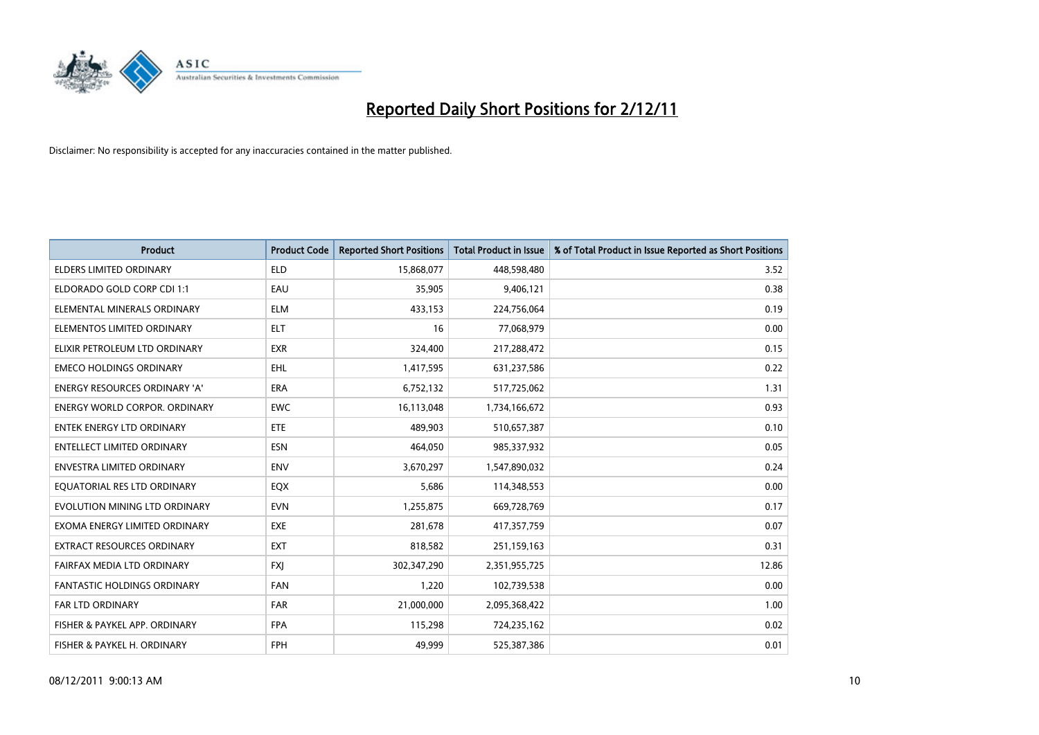

| <b>Product</b>                     | <b>Product Code</b> | <b>Reported Short Positions</b> | <b>Total Product in Issue</b> | % of Total Product in Issue Reported as Short Positions |
|------------------------------------|---------------------|---------------------------------|-------------------------------|---------------------------------------------------------|
| <b>ELDERS LIMITED ORDINARY</b>     | <b>ELD</b>          | 15,868,077                      | 448,598,480                   | 3.52                                                    |
| ELDORADO GOLD CORP CDI 1:1         | EAU                 | 35,905                          | 9,406,121                     | 0.38                                                    |
| ELEMENTAL MINERALS ORDINARY        | <b>ELM</b>          | 433,153                         | 224,756,064                   | 0.19                                                    |
| ELEMENTOS LIMITED ORDINARY         | <b>ELT</b>          | 16                              | 77,068,979                    | 0.00                                                    |
| ELIXIR PETROLEUM LTD ORDINARY      | <b>EXR</b>          | 324,400                         | 217,288,472                   | 0.15                                                    |
| <b>EMECO HOLDINGS ORDINARY</b>     | <b>EHL</b>          | 1,417,595                       | 631,237,586                   | 0.22                                                    |
| ENERGY RESOURCES ORDINARY 'A'      | <b>ERA</b>          | 6,752,132                       | 517,725,062                   | 1.31                                                    |
| ENERGY WORLD CORPOR, ORDINARY      | <b>EWC</b>          | 16,113,048                      | 1,734,166,672                 | 0.93                                                    |
| <b>ENTEK ENERGY LTD ORDINARY</b>   | ETE                 | 489,903                         | 510,657,387                   | 0.10                                                    |
| <b>ENTELLECT LIMITED ORDINARY</b>  | <b>ESN</b>          | 464,050                         | 985,337,932                   | 0.05                                                    |
| <b>ENVESTRA LIMITED ORDINARY</b>   | <b>ENV</b>          | 3,670,297                       | 1,547,890,032                 | 0.24                                                    |
| EQUATORIAL RES LTD ORDINARY        | EQX                 | 5,686                           | 114,348,553                   | 0.00                                                    |
| EVOLUTION MINING LTD ORDINARY      | <b>EVN</b>          | 1,255,875                       | 669,728,769                   | 0.17                                                    |
| EXOMA ENERGY LIMITED ORDINARY      | <b>EXE</b>          | 281,678                         | 417,357,759                   | 0.07                                                    |
| <b>EXTRACT RESOURCES ORDINARY</b>  | <b>EXT</b>          | 818,582                         | 251,159,163                   | 0.31                                                    |
| FAIRFAX MEDIA LTD ORDINARY         | <b>FXJ</b>          | 302,347,290                     | 2,351,955,725                 | 12.86                                                   |
| <b>FANTASTIC HOLDINGS ORDINARY</b> | <b>FAN</b>          | 1,220                           | 102,739,538                   | 0.00                                                    |
| FAR LTD ORDINARY                   | <b>FAR</b>          | 21,000,000                      | 2,095,368,422                 | 1.00                                                    |
| FISHER & PAYKEL APP. ORDINARY      | <b>FPA</b>          | 115,298                         | 724,235,162                   | 0.02                                                    |
| FISHER & PAYKEL H. ORDINARY        | <b>FPH</b>          | 49,999                          | 525,387,386                   | 0.01                                                    |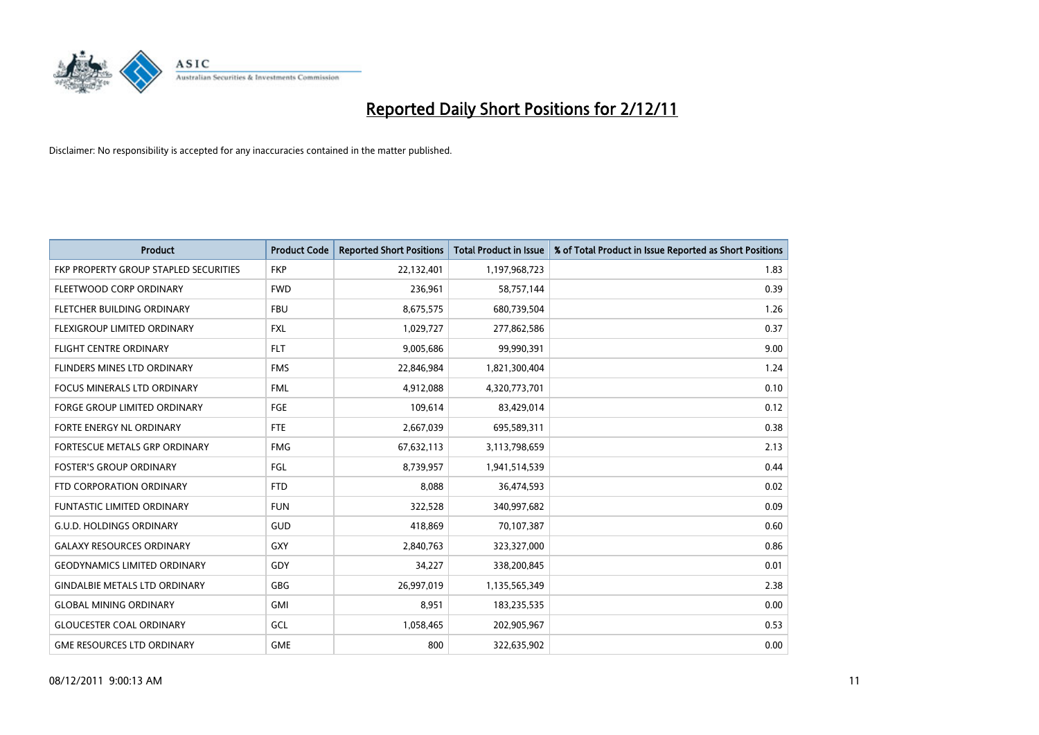

| <b>Product</b>                        | <b>Product Code</b> | <b>Reported Short Positions</b> | <b>Total Product in Issue</b> | % of Total Product in Issue Reported as Short Positions |
|---------------------------------------|---------------------|---------------------------------|-------------------------------|---------------------------------------------------------|
| FKP PROPERTY GROUP STAPLED SECURITIES | <b>FKP</b>          | 22,132,401                      | 1,197,968,723                 | 1.83                                                    |
| FLEETWOOD CORP ORDINARY               | <b>FWD</b>          | 236,961                         | 58,757,144                    | 0.39                                                    |
| FLETCHER BUILDING ORDINARY            | <b>FBU</b>          | 8,675,575                       | 680,739,504                   | 1.26                                                    |
| FLEXIGROUP LIMITED ORDINARY           | <b>FXL</b>          | 1,029,727                       | 277,862,586                   | 0.37                                                    |
| <b>FLIGHT CENTRE ORDINARY</b>         | <b>FLT</b>          | 9,005,686                       | 99,990,391                    | 9.00                                                    |
| FLINDERS MINES LTD ORDINARY           | <b>FMS</b>          | 22,846,984                      | 1,821,300,404                 | 1.24                                                    |
| <b>FOCUS MINERALS LTD ORDINARY</b>    | <b>FML</b>          | 4,912,088                       | 4,320,773,701                 | 0.10                                                    |
| FORGE GROUP LIMITED ORDINARY          | FGE                 | 109,614                         | 83,429,014                    | 0.12                                                    |
| FORTE ENERGY NL ORDINARY              | <b>FTE</b>          | 2,667,039                       | 695,589,311                   | 0.38                                                    |
| FORTESCUE METALS GRP ORDINARY         | <b>FMG</b>          | 67,632,113                      | 3,113,798,659                 | 2.13                                                    |
| <b>FOSTER'S GROUP ORDINARY</b>        | FGL                 | 8,739,957                       | 1,941,514,539                 | 0.44                                                    |
| FTD CORPORATION ORDINARY              | <b>FTD</b>          | 8,088                           | 36,474,593                    | 0.02                                                    |
| FUNTASTIC LIMITED ORDINARY            | <b>FUN</b>          | 322,528                         | 340,997,682                   | 0.09                                                    |
| <b>G.U.D. HOLDINGS ORDINARY</b>       | <b>GUD</b>          | 418,869                         | 70,107,387                    | 0.60                                                    |
| <b>GALAXY RESOURCES ORDINARY</b>      | <b>GXY</b>          | 2,840,763                       | 323,327,000                   | 0.86                                                    |
| <b>GEODYNAMICS LIMITED ORDINARY</b>   | GDY                 | 34,227                          | 338,200,845                   | 0.01                                                    |
| <b>GINDALBIE METALS LTD ORDINARY</b>  | <b>GBG</b>          | 26,997,019                      | 1,135,565,349                 | 2.38                                                    |
| <b>GLOBAL MINING ORDINARY</b>         | <b>GMI</b>          | 8,951                           | 183,235,535                   | 0.00                                                    |
| <b>GLOUCESTER COAL ORDINARY</b>       | GCL                 | 1,058,465                       | 202,905,967                   | 0.53                                                    |
| <b>GME RESOURCES LTD ORDINARY</b>     | <b>GME</b>          | 800                             | 322,635,902                   | 0.00                                                    |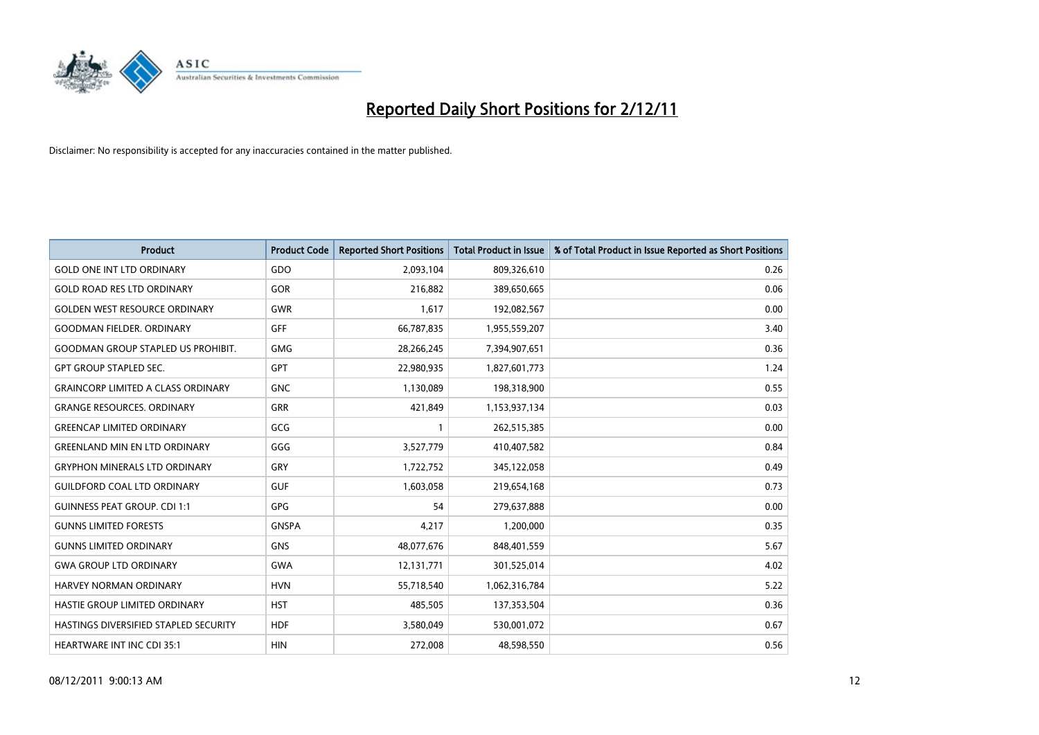

| <b>Product</b>                            | <b>Product Code</b> | <b>Reported Short Positions</b> | <b>Total Product in Issue</b> | % of Total Product in Issue Reported as Short Positions |
|-------------------------------------------|---------------------|---------------------------------|-------------------------------|---------------------------------------------------------|
| <b>GOLD ONE INT LTD ORDINARY</b>          | GDO                 | 2,093,104                       | 809,326,610                   | 0.26                                                    |
| <b>GOLD ROAD RES LTD ORDINARY</b>         | GOR                 | 216,882                         | 389,650,665                   | 0.06                                                    |
| <b>GOLDEN WEST RESOURCE ORDINARY</b>      | <b>GWR</b>          | 1,617                           | 192,082,567                   | 0.00                                                    |
| <b>GOODMAN FIELDER, ORDINARY</b>          | <b>GFF</b>          | 66,787,835                      | 1,955,559,207                 | 3.40                                                    |
| <b>GOODMAN GROUP STAPLED US PROHIBIT.</b> | <b>GMG</b>          | 28,266,245                      | 7,394,907,651                 | 0.36                                                    |
| <b>GPT GROUP STAPLED SEC.</b>             | <b>GPT</b>          | 22,980,935                      | 1,827,601,773                 | 1.24                                                    |
| <b>GRAINCORP LIMITED A CLASS ORDINARY</b> | <b>GNC</b>          | 1,130,089                       | 198,318,900                   | 0.55                                                    |
| <b>GRANGE RESOURCES. ORDINARY</b>         | GRR                 | 421,849                         | 1,153,937,134                 | 0.03                                                    |
| <b>GREENCAP LIMITED ORDINARY</b>          | GCG                 |                                 | 262,515,385                   | 0.00                                                    |
| <b>GREENLAND MIN EN LTD ORDINARY</b>      | GGG                 | 3,527,779                       | 410,407,582                   | 0.84                                                    |
| <b>GRYPHON MINERALS LTD ORDINARY</b>      | GRY                 | 1,722,752                       | 345,122,058                   | 0.49                                                    |
| <b>GUILDFORD COAL LTD ORDINARY</b>        | <b>GUF</b>          | 1,603,058                       | 219,654,168                   | 0.73                                                    |
| <b>GUINNESS PEAT GROUP. CDI 1:1</b>       | <b>GPG</b>          | 54                              | 279,637,888                   | 0.00                                                    |
| <b>GUNNS LIMITED FORESTS</b>              | <b>GNSPA</b>        | 4,217                           | 1,200,000                     | 0.35                                                    |
| <b>GUNNS LIMITED ORDINARY</b>             | <b>GNS</b>          | 48,077,676                      | 848,401,559                   | 5.67                                                    |
| <b>GWA GROUP LTD ORDINARY</b>             | <b>GWA</b>          | 12,131,771                      | 301,525,014                   | 4.02                                                    |
| HARVEY NORMAN ORDINARY                    | <b>HVN</b>          | 55,718,540                      | 1,062,316,784                 | 5.22                                                    |
| HASTIE GROUP LIMITED ORDINARY             | <b>HST</b>          | 485,505                         | 137,353,504                   | 0.36                                                    |
| HASTINGS DIVERSIFIED STAPLED SECURITY     | <b>HDF</b>          | 3,580,049                       | 530,001,072                   | 0.67                                                    |
| <b>HEARTWARE INT INC CDI 35:1</b>         | <b>HIN</b>          | 272,008                         | 48,598,550                    | 0.56                                                    |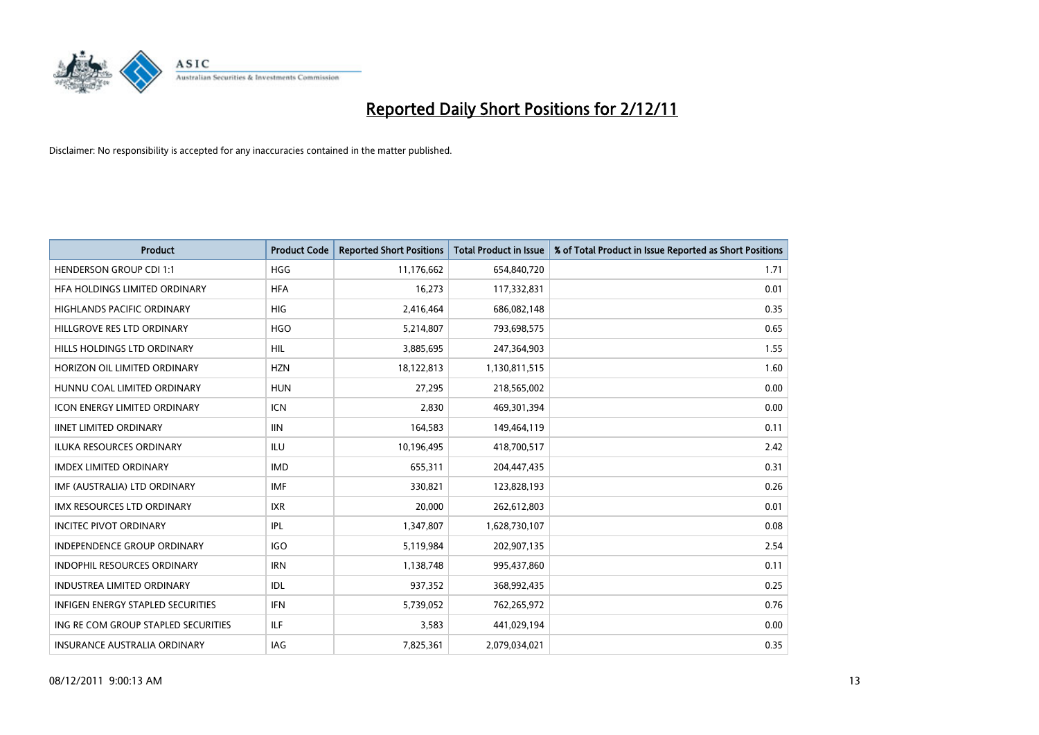

| <b>Product</b>                      | <b>Product Code</b> | <b>Reported Short Positions</b> | <b>Total Product in Issue</b> | % of Total Product in Issue Reported as Short Positions |
|-------------------------------------|---------------------|---------------------------------|-------------------------------|---------------------------------------------------------|
| <b>HENDERSON GROUP CDI 1:1</b>      | <b>HGG</b>          | 11,176,662                      | 654,840,720                   | 1.71                                                    |
| HFA HOLDINGS LIMITED ORDINARY       | <b>HFA</b>          | 16,273                          | 117,332,831                   | 0.01                                                    |
| <b>HIGHLANDS PACIFIC ORDINARY</b>   | <b>HIG</b>          | 2,416,464                       | 686,082,148                   | 0.35                                                    |
| HILLGROVE RES LTD ORDINARY          | <b>HGO</b>          | 5,214,807                       | 793,698,575                   | 0.65                                                    |
| HILLS HOLDINGS LTD ORDINARY         | <b>HIL</b>          | 3,885,695                       | 247,364,903                   | 1.55                                                    |
| HORIZON OIL LIMITED ORDINARY        | <b>HZN</b>          | 18,122,813                      | 1,130,811,515                 | 1.60                                                    |
| HUNNU COAL LIMITED ORDINARY         | <b>HUN</b>          | 27,295                          | 218,565,002                   | 0.00                                                    |
| ICON ENERGY LIMITED ORDINARY        | <b>ICN</b>          | 2,830                           | 469,301,394                   | 0.00                                                    |
| <b>IINET LIMITED ORDINARY</b>       | <b>IIN</b>          | 164,583                         | 149,464,119                   | 0.11                                                    |
| <b>ILUKA RESOURCES ORDINARY</b>     | ILU                 | 10,196,495                      | 418,700,517                   | 2.42                                                    |
| <b>IMDEX LIMITED ORDINARY</b>       | <b>IMD</b>          | 655,311                         | 204,447,435                   | 0.31                                                    |
| IMF (AUSTRALIA) LTD ORDINARY        | <b>IMF</b>          | 330,821                         | 123,828,193                   | 0.26                                                    |
| IMX RESOURCES LTD ORDINARY          | <b>IXR</b>          | 20,000                          | 262,612,803                   | 0.01                                                    |
| <b>INCITEC PIVOT ORDINARY</b>       | IPL                 | 1,347,807                       | 1,628,730,107                 | 0.08                                                    |
| <b>INDEPENDENCE GROUP ORDINARY</b>  | <b>IGO</b>          | 5,119,984                       | 202,907,135                   | 2.54                                                    |
| INDOPHIL RESOURCES ORDINARY         | <b>IRN</b>          | 1,138,748                       | 995,437,860                   | 0.11                                                    |
| INDUSTREA LIMITED ORDINARY          | IDL                 | 937,352                         | 368,992,435                   | 0.25                                                    |
| INFIGEN ENERGY STAPLED SECURITIES   | <b>IFN</b>          | 5,739,052                       | 762,265,972                   | 0.76                                                    |
| ING RE COM GROUP STAPLED SECURITIES | ILF.                | 3,583                           | 441,029,194                   | 0.00                                                    |
| INSURANCE AUSTRALIA ORDINARY        | IAG                 | 7,825,361                       | 2,079,034,021                 | 0.35                                                    |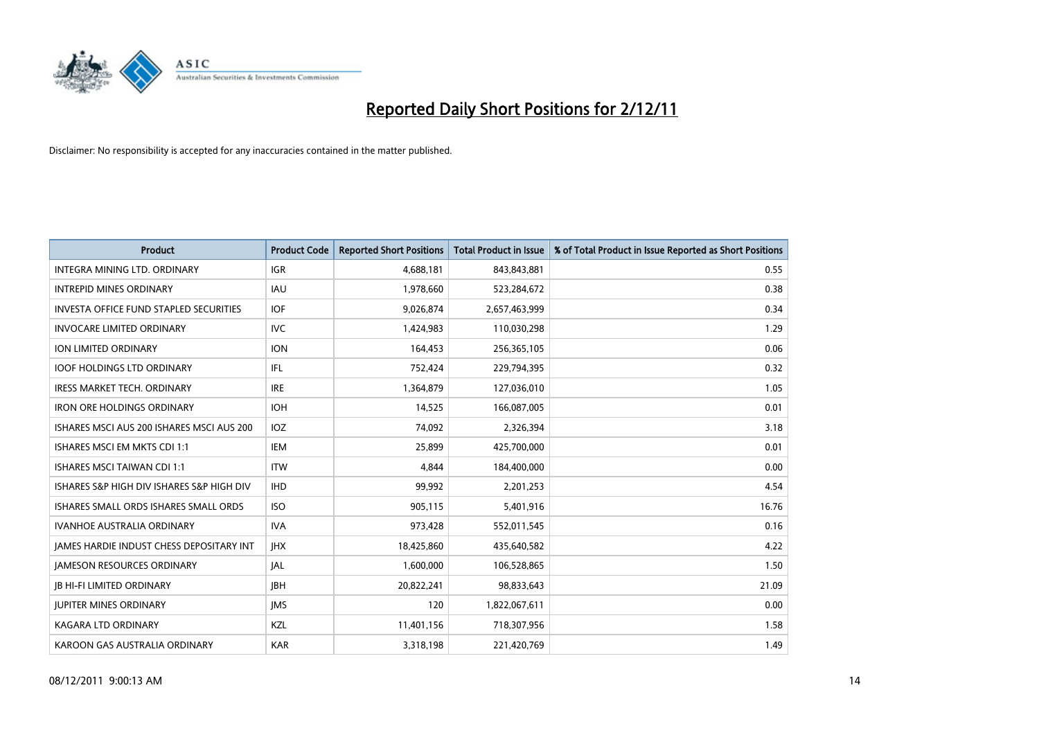

| <b>Product</b>                                  | <b>Product Code</b> | <b>Reported Short Positions</b> | <b>Total Product in Issue</b> | % of Total Product in Issue Reported as Short Positions |
|-------------------------------------------------|---------------------|---------------------------------|-------------------------------|---------------------------------------------------------|
| <b>INTEGRA MINING LTD, ORDINARY</b>             | <b>IGR</b>          | 4,688,181                       | 843,843,881                   | 0.55                                                    |
| <b>INTREPID MINES ORDINARY</b>                  | <b>IAU</b>          | 1,978,660                       | 523,284,672                   | 0.38                                                    |
| <b>INVESTA OFFICE FUND STAPLED SECURITIES</b>   | <b>IOF</b>          | 9,026,874                       | 2,657,463,999                 | 0.34                                                    |
| <b>INVOCARE LIMITED ORDINARY</b>                | <b>IVC</b>          | 1,424,983                       | 110,030,298                   | 1.29                                                    |
| <b>ION LIMITED ORDINARY</b>                     | <b>ION</b>          | 164,453                         | 256,365,105                   | 0.06                                                    |
| <b>IOOF HOLDINGS LTD ORDINARY</b>               | IFL                 | 752,424                         | 229,794,395                   | 0.32                                                    |
| <b>IRESS MARKET TECH. ORDINARY</b>              | <b>IRE</b>          | 1,364,879                       | 127,036,010                   | 1.05                                                    |
| <b>IRON ORE HOLDINGS ORDINARY</b>               | <b>IOH</b>          | 14,525                          | 166,087,005                   | 0.01                                                    |
| ISHARES MSCI AUS 200 ISHARES MSCI AUS 200       | <b>IOZ</b>          | 74,092                          | 2,326,394                     | 3.18                                                    |
| ISHARES MSCI EM MKTS CDI 1:1                    | <b>IEM</b>          | 25,899                          | 425,700,000                   | 0.01                                                    |
| <b>ISHARES MSCI TAIWAN CDI 1:1</b>              | <b>ITW</b>          | 4,844                           | 184,400,000                   | 0.00                                                    |
| ISHARES S&P HIGH DIV ISHARES S&P HIGH DIV       | <b>IHD</b>          | 99,992                          | 2,201,253                     | 4.54                                                    |
| ISHARES SMALL ORDS ISHARES SMALL ORDS           | <b>ISO</b>          | 905,115                         | 5,401,916                     | 16.76                                                   |
| <b>IVANHOE AUSTRALIA ORDINARY</b>               | <b>IVA</b>          | 973,428                         | 552,011,545                   | 0.16                                                    |
| <b>JAMES HARDIE INDUST CHESS DEPOSITARY INT</b> | <b>IHX</b>          | 18,425,860                      | 435,640,582                   | 4.22                                                    |
| <b>JAMESON RESOURCES ORDINARY</b>               | <b>JAL</b>          | 1,600,000                       | 106,528,865                   | 1.50                                                    |
| <b>JB HI-FI LIMITED ORDINARY</b>                | <b>IBH</b>          | 20,822,241                      | 98,833,643                    | 21.09                                                   |
| <b>JUPITER MINES ORDINARY</b>                   | <b>IMS</b>          | 120                             | 1,822,067,611                 | 0.00                                                    |
| <b>KAGARA LTD ORDINARY</b>                      | <b>KZL</b>          | 11,401,156                      | 718,307,956                   | 1.58                                                    |
| KAROON GAS AUSTRALIA ORDINARY                   | <b>KAR</b>          | 3,318,198                       | 221,420,769                   | 1.49                                                    |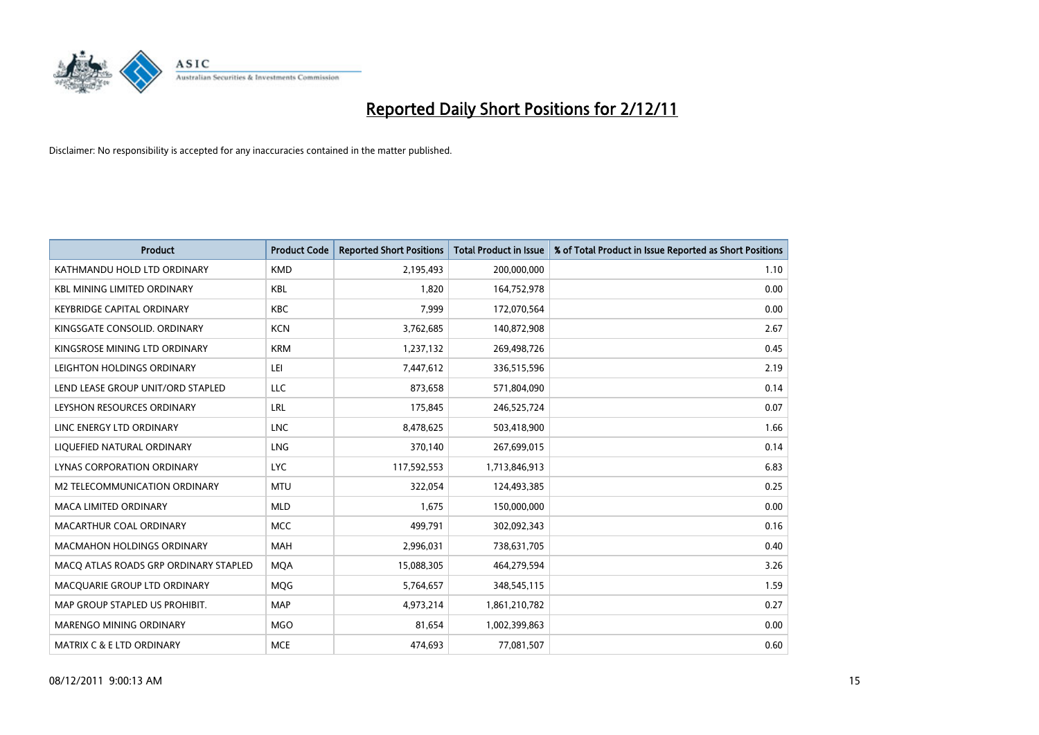

| <b>Product</b>                        | <b>Product Code</b> | <b>Reported Short Positions</b> | <b>Total Product in Issue</b> | % of Total Product in Issue Reported as Short Positions |
|---------------------------------------|---------------------|---------------------------------|-------------------------------|---------------------------------------------------------|
| KATHMANDU HOLD LTD ORDINARY           | <b>KMD</b>          | 2,195,493                       | 200,000,000                   | 1.10                                                    |
| <b>KBL MINING LIMITED ORDINARY</b>    | <b>KBL</b>          | 1,820                           | 164,752,978                   | 0.00                                                    |
| <b>KEYBRIDGE CAPITAL ORDINARY</b>     | <b>KBC</b>          | 7.999                           | 172,070,564                   | 0.00                                                    |
| KINGSGATE CONSOLID. ORDINARY          | <b>KCN</b>          | 3,762,685                       | 140,872,908                   | 2.67                                                    |
| KINGSROSE MINING LTD ORDINARY         | <b>KRM</b>          | 1,237,132                       | 269,498,726                   | 0.45                                                    |
| LEIGHTON HOLDINGS ORDINARY            | LEI                 | 7,447,612                       | 336,515,596                   | 2.19                                                    |
| LEND LEASE GROUP UNIT/ORD STAPLED     | LLC                 | 873,658                         | 571,804,090                   | 0.14                                                    |
| LEYSHON RESOURCES ORDINARY            | LRL                 | 175,845                         | 246,525,724                   | 0.07                                                    |
| LINC ENERGY LTD ORDINARY              | <b>LNC</b>          | 8,478,625                       | 503,418,900                   | 1.66                                                    |
| LIQUEFIED NATURAL ORDINARY            | <b>LNG</b>          | 370,140                         | 267,699,015                   | 0.14                                                    |
| LYNAS CORPORATION ORDINARY            | <b>LYC</b>          | 117,592,553                     | 1,713,846,913                 | 6.83                                                    |
| M2 TELECOMMUNICATION ORDINARY         | <b>MTU</b>          | 322,054                         | 124,493,385                   | 0.25                                                    |
| MACA LIMITED ORDINARY                 | <b>MLD</b>          | 1,675                           | 150,000,000                   | 0.00                                                    |
| MACARTHUR COAL ORDINARY               | <b>MCC</b>          | 499,791                         | 302,092,343                   | 0.16                                                    |
| <b>MACMAHON HOLDINGS ORDINARY</b>     | <b>MAH</b>          | 2,996,031                       | 738,631,705                   | 0.40                                                    |
| MACQ ATLAS ROADS GRP ORDINARY STAPLED | <b>MOA</b>          | 15,088,305                      | 464,279,594                   | 3.26                                                    |
| MACQUARIE GROUP LTD ORDINARY          | <b>MOG</b>          | 5,764,657                       | 348,545,115                   | 1.59                                                    |
| MAP GROUP STAPLED US PROHIBIT.        | <b>MAP</b>          | 4,973,214                       | 1,861,210,782                 | 0.27                                                    |
| <b>MARENGO MINING ORDINARY</b>        | <b>MGO</b>          | 81,654                          | 1,002,399,863                 | 0.00                                                    |
| MATRIX C & E LTD ORDINARY             | <b>MCE</b>          | 474,693                         | 77,081,507                    | 0.60                                                    |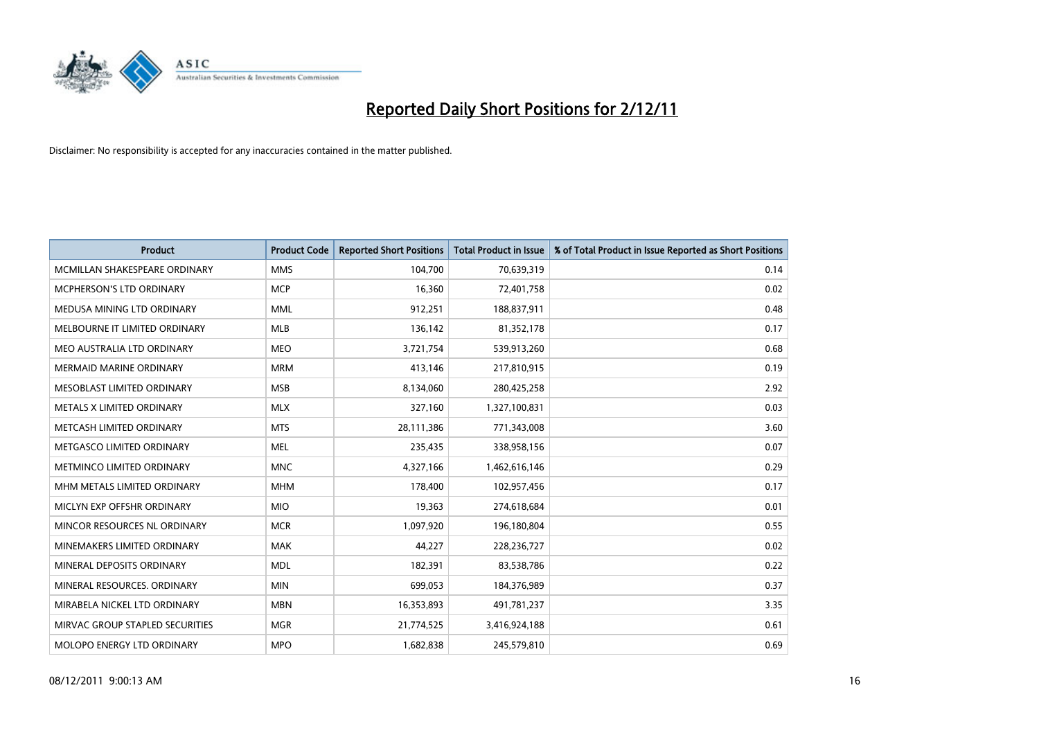

| <b>Product</b>                    | <b>Product Code</b> | <b>Reported Short Positions</b> | <b>Total Product in Issue</b> | % of Total Product in Issue Reported as Short Positions |
|-----------------------------------|---------------------|---------------------------------|-------------------------------|---------------------------------------------------------|
| MCMILLAN SHAKESPEARE ORDINARY     | <b>MMS</b>          | 104,700                         | 70,639,319                    | 0.14                                                    |
| MCPHERSON'S LTD ORDINARY          | <b>MCP</b>          | 16,360                          | 72,401,758                    | 0.02                                                    |
| MEDUSA MINING LTD ORDINARY        | <b>MML</b>          | 912,251                         | 188,837,911                   | 0.48                                                    |
| MELBOURNE IT LIMITED ORDINARY     | <b>MLB</b>          | 136,142                         | 81,352,178                    | 0.17                                                    |
| MEO AUSTRALIA LTD ORDINARY        | <b>MEO</b>          | 3,721,754                       | 539,913,260                   | 0.68                                                    |
| MERMAID MARINE ORDINARY           | <b>MRM</b>          | 413,146                         | 217,810,915                   | 0.19                                                    |
| <b>MESOBLAST LIMITED ORDINARY</b> | <b>MSB</b>          | 8,134,060                       | 280,425,258                   | 2.92                                                    |
| METALS X LIMITED ORDINARY         | <b>MLX</b>          | 327,160                         | 1,327,100,831                 | 0.03                                                    |
| METCASH LIMITED ORDINARY          | <b>MTS</b>          | 28,111,386                      | 771,343,008                   | 3.60                                                    |
| METGASCO LIMITED ORDINARY         | <b>MEL</b>          | 235,435                         | 338,958,156                   | 0.07                                                    |
| METMINCO LIMITED ORDINARY         | <b>MNC</b>          | 4,327,166                       | 1,462,616,146                 | 0.29                                                    |
| MHM METALS LIMITED ORDINARY       | <b>MHM</b>          | 178,400                         | 102,957,456                   | 0.17                                                    |
| MICLYN EXP OFFSHR ORDINARY        | <b>MIO</b>          | 19,363                          | 274,618,684                   | 0.01                                                    |
| MINCOR RESOURCES NL ORDINARY      | <b>MCR</b>          | 1,097,920                       | 196,180,804                   | 0.55                                                    |
| MINEMAKERS LIMITED ORDINARY       | <b>MAK</b>          | 44.227                          | 228,236,727                   | 0.02                                                    |
| MINERAL DEPOSITS ORDINARY         | <b>MDL</b>          | 182,391                         | 83,538,786                    | 0.22                                                    |
| MINERAL RESOURCES. ORDINARY       | <b>MIN</b>          | 699,053                         | 184,376,989                   | 0.37                                                    |
| MIRABELA NICKEL LTD ORDINARY      | <b>MBN</b>          | 16,353,893                      | 491,781,237                   | 3.35                                                    |
| MIRVAC GROUP STAPLED SECURITIES   | <b>MGR</b>          | 21,774,525                      | 3,416,924,188                 | 0.61                                                    |
| <b>MOLOPO ENERGY LTD ORDINARY</b> | <b>MPO</b>          | 1,682,838                       | 245,579,810                   | 0.69                                                    |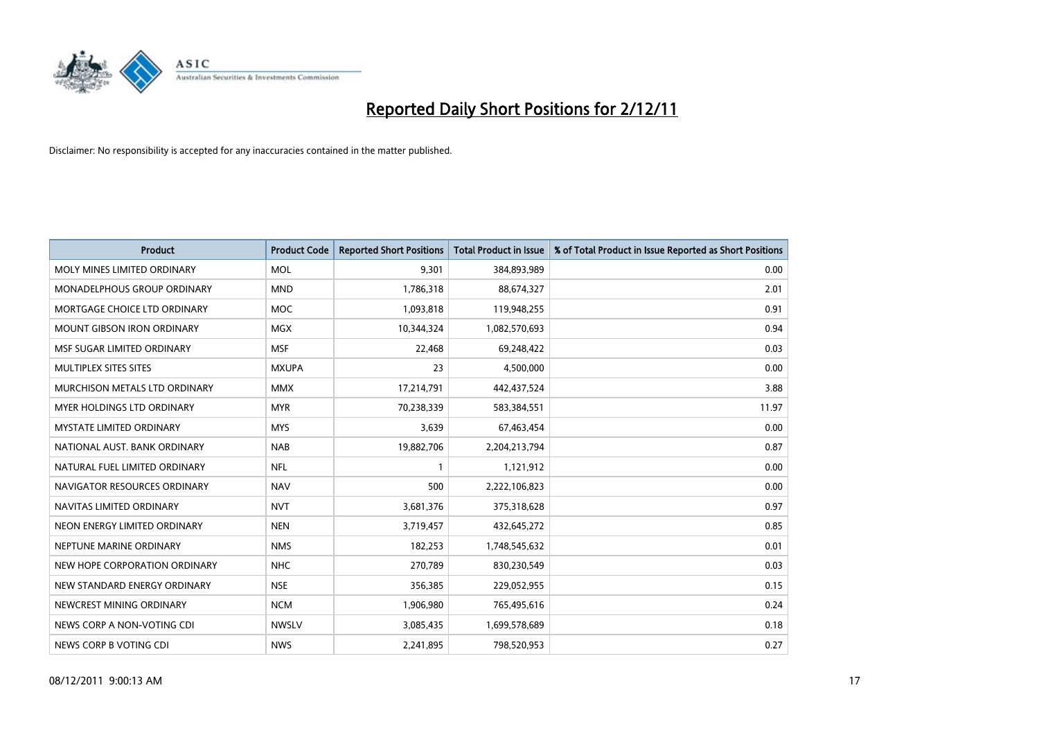

| <b>Product</b>                  | <b>Product Code</b> | <b>Reported Short Positions</b> | <b>Total Product in Issue</b> | % of Total Product in Issue Reported as Short Positions |
|---------------------------------|---------------------|---------------------------------|-------------------------------|---------------------------------------------------------|
| MOLY MINES LIMITED ORDINARY     | <b>MOL</b>          | 9,301                           | 384,893,989                   | 0.00                                                    |
| MONADELPHOUS GROUP ORDINARY     | <b>MND</b>          | 1,786,318                       | 88,674,327                    | 2.01                                                    |
| MORTGAGE CHOICE LTD ORDINARY    | <b>MOC</b>          | 1,093,818                       | 119,948,255                   | 0.91                                                    |
| MOUNT GIBSON IRON ORDINARY      | <b>MGX</b>          | 10,344,324                      | 1,082,570,693                 | 0.94                                                    |
| MSF SUGAR LIMITED ORDINARY      | <b>MSF</b>          | 22,468                          | 69,248,422                    | 0.03                                                    |
| <b>MULTIPLEX SITES SITES</b>    | <b>MXUPA</b>        | 23                              | 4,500,000                     | 0.00                                                    |
| MURCHISON METALS LTD ORDINARY   | <b>MMX</b>          | 17,214,791                      | 442,437,524                   | 3.88                                                    |
| MYER HOLDINGS LTD ORDINARY      | <b>MYR</b>          | 70,238,339                      | 583,384,551                   | 11.97                                                   |
| <b>MYSTATE LIMITED ORDINARY</b> | <b>MYS</b>          | 3,639                           | 67,463,454                    | 0.00                                                    |
| NATIONAL AUST. BANK ORDINARY    | <b>NAB</b>          | 19,882,706                      | 2,204,213,794                 | 0.87                                                    |
| NATURAL FUEL LIMITED ORDINARY   | <b>NFL</b>          |                                 | 1,121,912                     | 0.00                                                    |
| NAVIGATOR RESOURCES ORDINARY    | <b>NAV</b>          | 500                             | 2,222,106,823                 | 0.00                                                    |
| NAVITAS LIMITED ORDINARY        | <b>NVT</b>          | 3,681,376                       | 375,318,628                   | 0.97                                                    |
| NEON ENERGY LIMITED ORDINARY    | <b>NEN</b>          | 3,719,457                       | 432,645,272                   | 0.85                                                    |
| NEPTUNE MARINE ORDINARY         | <b>NMS</b>          | 182,253                         | 1,748,545,632                 | 0.01                                                    |
| NEW HOPE CORPORATION ORDINARY   | <b>NHC</b>          | 270,789                         | 830,230,549                   | 0.03                                                    |
| NEW STANDARD ENERGY ORDINARY    | <b>NSE</b>          | 356,385                         | 229,052,955                   | 0.15                                                    |
| NEWCREST MINING ORDINARY        | <b>NCM</b>          | 1,906,980                       | 765,495,616                   | 0.24                                                    |
| NEWS CORP A NON-VOTING CDI      | <b>NWSLV</b>        | 3,085,435                       | 1,699,578,689                 | 0.18                                                    |
| NEWS CORP B VOTING CDI          | <b>NWS</b>          | 2,241,895                       | 798,520,953                   | 0.27                                                    |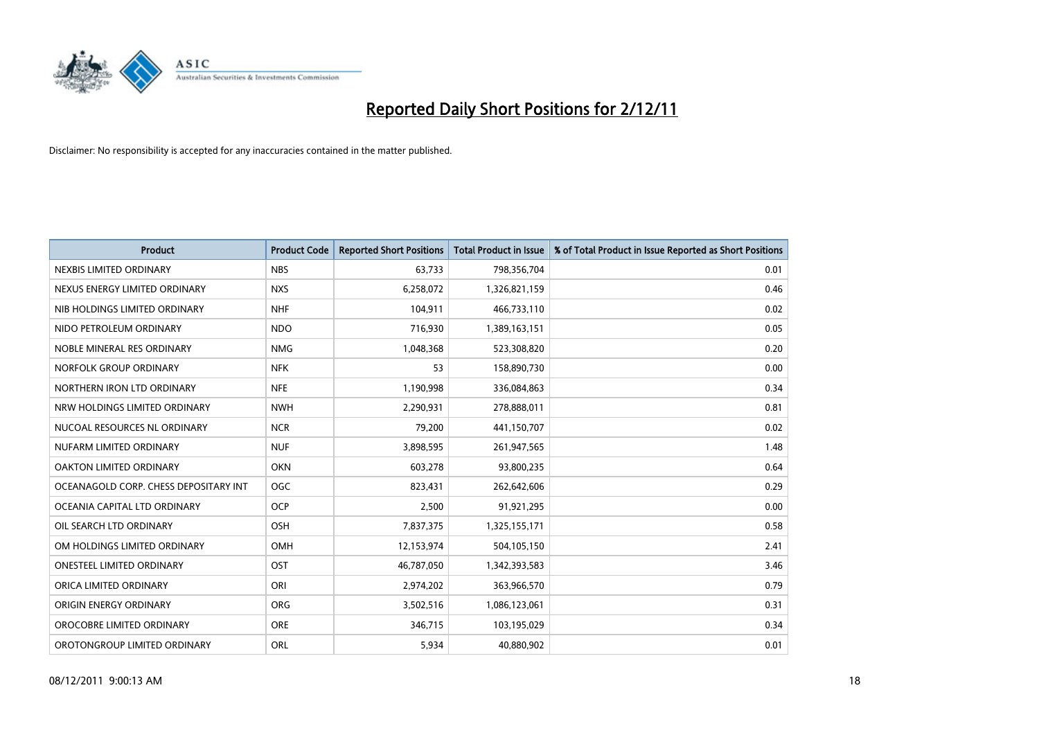

| <b>Product</b>                        | <b>Product Code</b> | <b>Reported Short Positions</b> | <b>Total Product in Issue</b> | % of Total Product in Issue Reported as Short Positions |
|---------------------------------------|---------------------|---------------------------------|-------------------------------|---------------------------------------------------------|
| NEXBIS LIMITED ORDINARY               | <b>NBS</b>          | 63,733                          | 798,356,704                   | 0.01                                                    |
| NEXUS ENERGY LIMITED ORDINARY         | <b>NXS</b>          | 6,258,072                       | 1,326,821,159                 | 0.46                                                    |
| NIB HOLDINGS LIMITED ORDINARY         | <b>NHF</b>          | 104,911                         | 466,733,110                   | 0.02                                                    |
| NIDO PETROLEUM ORDINARY               | <b>NDO</b>          | 716,930                         | 1,389,163,151                 | 0.05                                                    |
| NOBLE MINERAL RES ORDINARY            | <b>NMG</b>          | 1,048,368                       | 523,308,820                   | 0.20                                                    |
| NORFOLK GROUP ORDINARY                | <b>NFK</b>          | 53                              | 158,890,730                   | 0.00                                                    |
| NORTHERN IRON LTD ORDINARY            | <b>NFE</b>          | 1,190,998                       | 336,084,863                   | 0.34                                                    |
| NRW HOLDINGS LIMITED ORDINARY         | <b>NWH</b>          | 2,290,931                       | 278,888,011                   | 0.81                                                    |
| NUCOAL RESOURCES NL ORDINARY          | <b>NCR</b>          | 79,200                          | 441,150,707                   | 0.02                                                    |
| NUFARM LIMITED ORDINARY               | <b>NUF</b>          | 3,898,595                       | 261,947,565                   | 1.48                                                    |
| OAKTON LIMITED ORDINARY               | <b>OKN</b>          | 603,278                         | 93,800,235                    | 0.64                                                    |
| OCEANAGOLD CORP. CHESS DEPOSITARY INT | <b>OGC</b>          | 823,431                         | 262,642,606                   | 0.29                                                    |
| OCEANIA CAPITAL LTD ORDINARY          | <b>OCP</b>          | 2,500                           | 91,921,295                    | 0.00                                                    |
| OIL SEARCH LTD ORDINARY               | OSH                 | 7,837,375                       | 1,325,155,171                 | 0.58                                                    |
| OM HOLDINGS LIMITED ORDINARY          | OMH                 | 12,153,974                      | 504,105,150                   | 2.41                                                    |
| ONESTEEL LIMITED ORDINARY             | OST                 | 46,787,050                      | 1,342,393,583                 | 3.46                                                    |
| ORICA LIMITED ORDINARY                | ORI                 | 2,974,202                       | 363,966,570                   | 0.79                                                    |
| ORIGIN ENERGY ORDINARY                | <b>ORG</b>          | 3,502,516                       | 1,086,123,061                 | 0.31                                                    |
| OROCOBRE LIMITED ORDINARY             | <b>ORE</b>          | 346,715                         | 103,195,029                   | 0.34                                                    |
| OROTONGROUP LIMITED ORDINARY          | ORL                 | 5,934                           | 40,880,902                    | 0.01                                                    |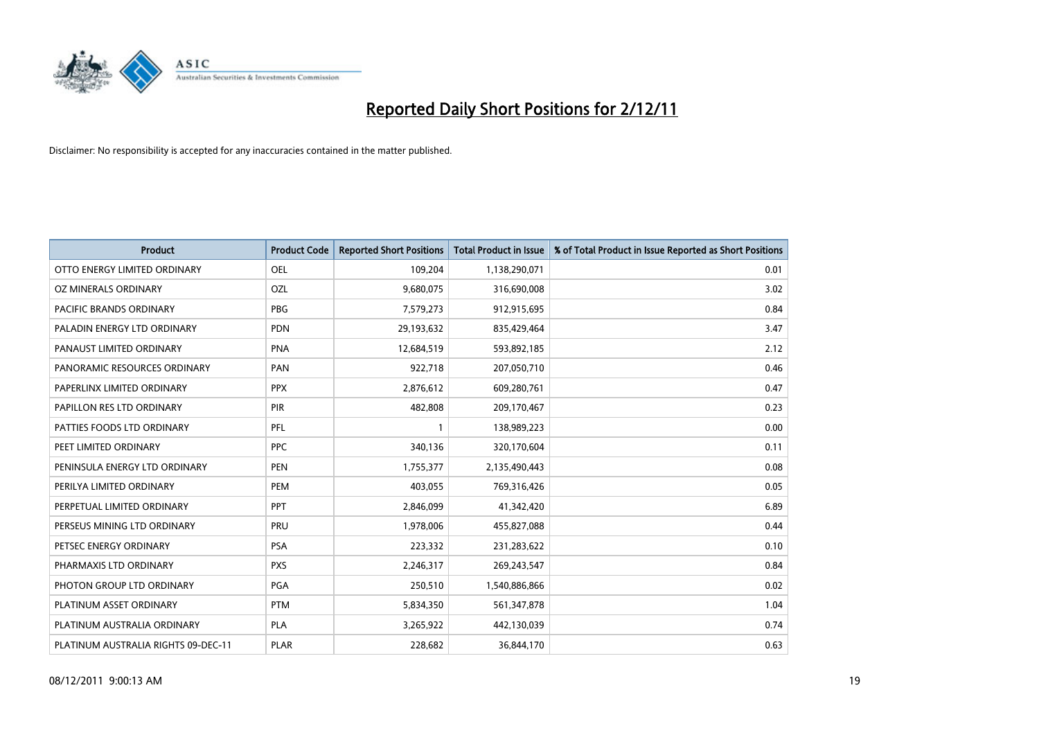

| <b>Product</b>                      | <b>Product Code</b> | <b>Reported Short Positions</b> | <b>Total Product in Issue</b> | % of Total Product in Issue Reported as Short Positions |
|-------------------------------------|---------------------|---------------------------------|-------------------------------|---------------------------------------------------------|
| OTTO ENERGY LIMITED ORDINARY        | <b>OEL</b>          | 109,204                         | 1,138,290,071                 | 0.01                                                    |
| OZ MINERALS ORDINARY                | OZL                 | 9,680,075                       | 316,690,008                   | 3.02                                                    |
| PACIFIC BRANDS ORDINARY             | <b>PBG</b>          | 7,579,273                       | 912,915,695                   | 0.84                                                    |
| PALADIN ENERGY LTD ORDINARY         | <b>PDN</b>          | 29,193,632                      | 835,429,464                   | 3.47                                                    |
| PANAUST LIMITED ORDINARY            | <b>PNA</b>          | 12,684,519                      | 593,892,185                   | 2.12                                                    |
| PANORAMIC RESOURCES ORDINARY        | PAN                 | 922,718                         | 207,050,710                   | 0.46                                                    |
| PAPERLINX LIMITED ORDINARY          | <b>PPX</b>          | 2,876,612                       | 609,280,761                   | 0.47                                                    |
| PAPILLON RES LTD ORDINARY           | PIR                 | 482,808                         | 209,170,467                   | 0.23                                                    |
| PATTIES FOODS LTD ORDINARY          | PFL                 |                                 | 138,989,223                   | 0.00                                                    |
| PEET LIMITED ORDINARY               | <b>PPC</b>          | 340,136                         | 320,170,604                   | 0.11                                                    |
| PENINSULA ENERGY LTD ORDINARY       | <b>PEN</b>          | 1,755,377                       | 2,135,490,443                 | 0.08                                                    |
| PERILYA LIMITED ORDINARY            | PEM                 | 403,055                         | 769,316,426                   | 0.05                                                    |
| PERPETUAL LIMITED ORDINARY          | PPT                 | 2,846,099                       | 41,342,420                    | 6.89                                                    |
| PERSEUS MINING LTD ORDINARY         | PRU                 | 1,978,006                       | 455,827,088                   | 0.44                                                    |
| PETSEC ENERGY ORDINARY              | <b>PSA</b>          | 223,332                         | 231,283,622                   | 0.10                                                    |
| PHARMAXIS LTD ORDINARY              | <b>PXS</b>          | 2,246,317                       | 269,243,547                   | 0.84                                                    |
| PHOTON GROUP LTD ORDINARY           | <b>PGA</b>          | 250,510                         | 1,540,886,866                 | 0.02                                                    |
| PLATINUM ASSET ORDINARY             | <b>PTM</b>          | 5,834,350                       | 561,347,878                   | 1.04                                                    |
| PLATINUM AUSTRALIA ORDINARY         | <b>PLA</b>          | 3,265,922                       | 442,130,039                   | 0.74                                                    |
| PLATINUM AUSTRALIA RIGHTS 09-DEC-11 | <b>PLAR</b>         | 228,682                         | 36,844,170                    | 0.63                                                    |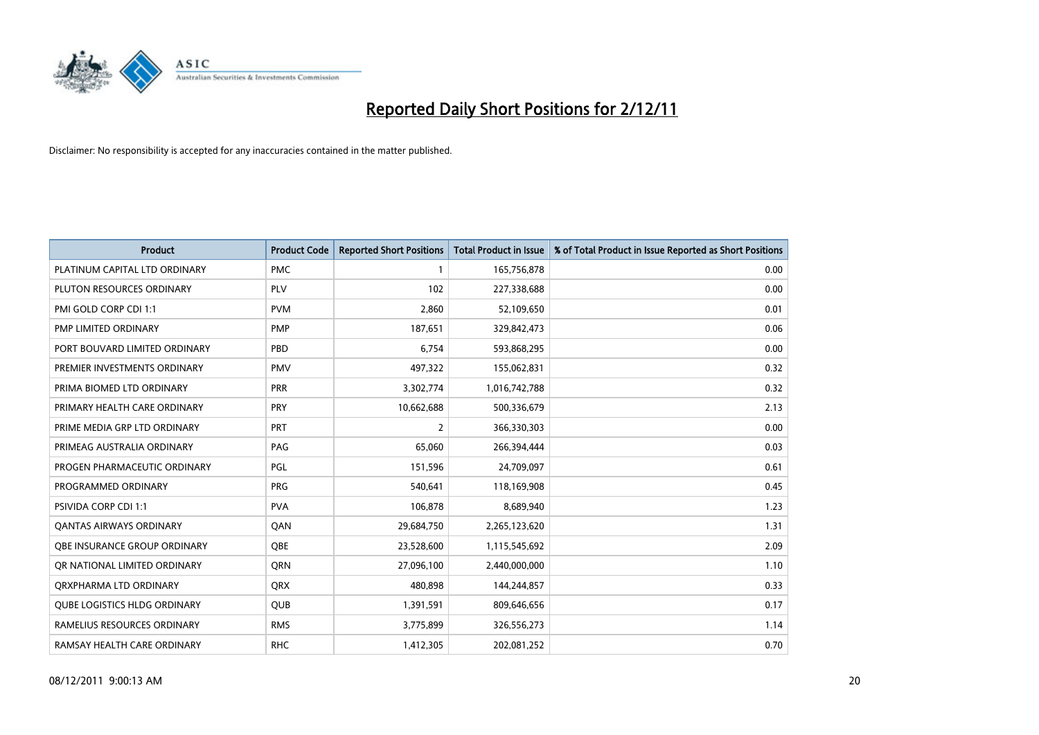

| <b>Product</b>                      | <b>Product Code</b> | <b>Reported Short Positions</b> | <b>Total Product in Issue</b> | % of Total Product in Issue Reported as Short Positions |
|-------------------------------------|---------------------|---------------------------------|-------------------------------|---------------------------------------------------------|
| PLATINUM CAPITAL LTD ORDINARY       | <b>PMC</b>          |                                 | 165,756,878                   | 0.00                                                    |
| PLUTON RESOURCES ORDINARY           | <b>PLV</b>          | 102                             | 227,338,688                   | 0.00                                                    |
| PMI GOLD CORP CDI 1:1               | <b>PVM</b>          | 2,860                           | 52,109,650                    | 0.01                                                    |
| PMP LIMITED ORDINARY                | <b>PMP</b>          | 187,651                         | 329,842,473                   | 0.06                                                    |
| PORT BOUVARD LIMITED ORDINARY       | PBD                 | 6,754                           | 593,868,295                   | 0.00                                                    |
| PREMIER INVESTMENTS ORDINARY        | <b>PMV</b>          | 497,322                         | 155,062,831                   | 0.32                                                    |
| PRIMA BIOMED LTD ORDINARY           | <b>PRR</b>          | 3,302,774                       | 1,016,742,788                 | 0.32                                                    |
| PRIMARY HEALTH CARE ORDINARY        | <b>PRY</b>          | 10,662,688                      | 500,336,679                   | 2.13                                                    |
| PRIME MEDIA GRP LTD ORDINARY        | PRT                 | 2                               | 366,330,303                   | 0.00                                                    |
| PRIMEAG AUSTRALIA ORDINARY          | PAG                 | 65,060                          | 266,394,444                   | 0.03                                                    |
| PROGEN PHARMACEUTIC ORDINARY        | PGL                 | 151,596                         | 24,709,097                    | 0.61                                                    |
| PROGRAMMED ORDINARY                 | <b>PRG</b>          | 540,641                         | 118,169,908                   | 0.45                                                    |
| PSIVIDA CORP CDI 1:1                | <b>PVA</b>          | 106,878                         | 8,689,940                     | 1.23                                                    |
| <b>QANTAS AIRWAYS ORDINARY</b>      | QAN                 | 29,684,750                      | 2,265,123,620                 | 1.31                                                    |
| OBE INSURANCE GROUP ORDINARY        | <b>OBE</b>          | 23,528,600                      | 1,115,545,692                 | 2.09                                                    |
| OR NATIONAL LIMITED ORDINARY        | <b>ORN</b>          | 27,096,100                      | 2,440,000,000                 | 1.10                                                    |
| ORXPHARMA LTD ORDINARY              | QRX                 | 480,898                         | 144,244,857                   | 0.33                                                    |
| <b>OUBE LOGISTICS HLDG ORDINARY</b> | QUB                 | 1,391,591                       | 809,646,656                   | 0.17                                                    |
| RAMELIUS RESOURCES ORDINARY         | <b>RMS</b>          | 3,775,899                       | 326,556,273                   | 1.14                                                    |
| RAMSAY HEALTH CARE ORDINARY         | <b>RHC</b>          | 1,412,305                       | 202,081,252                   | 0.70                                                    |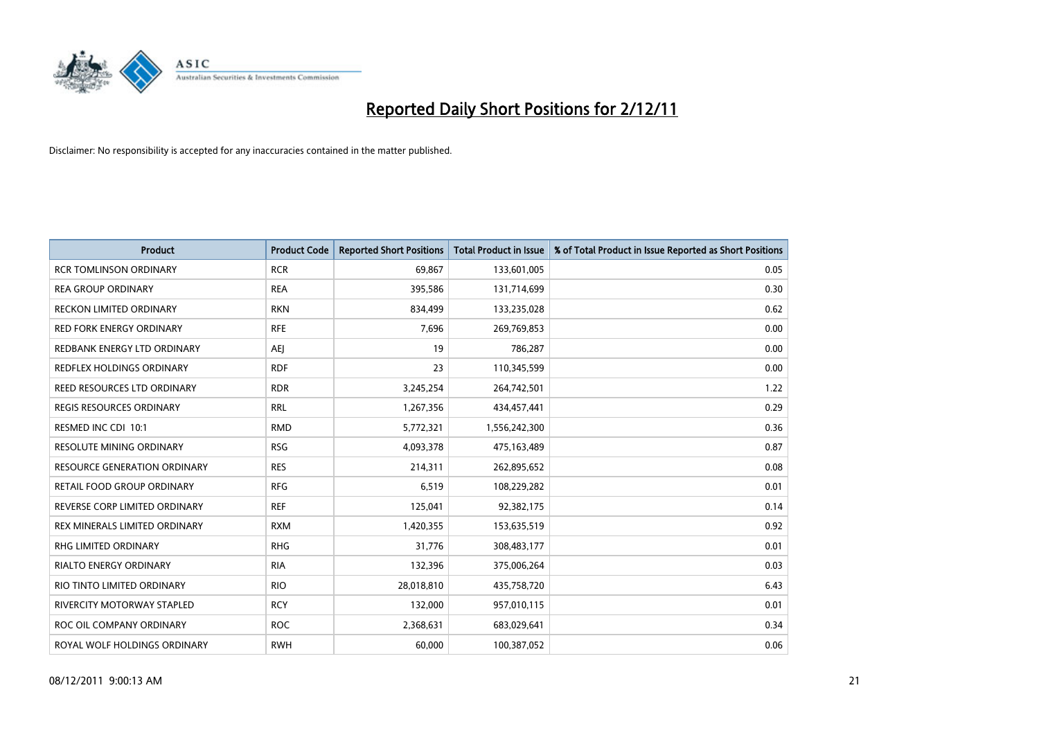

| <b>Product</b>                  | <b>Product Code</b> | <b>Reported Short Positions</b> | <b>Total Product in Issue</b> | % of Total Product in Issue Reported as Short Positions |
|---------------------------------|---------------------|---------------------------------|-------------------------------|---------------------------------------------------------|
| <b>RCR TOMLINSON ORDINARY</b>   | <b>RCR</b>          | 69,867                          | 133,601,005                   | 0.05                                                    |
| <b>REA GROUP ORDINARY</b>       | <b>REA</b>          | 395,586                         | 131,714,699                   | 0.30                                                    |
| <b>RECKON LIMITED ORDINARY</b>  | <b>RKN</b>          | 834,499                         | 133,235,028                   | 0.62                                                    |
| RED FORK ENERGY ORDINARY        | <b>RFE</b>          | 7,696                           | 269,769,853                   | 0.00                                                    |
| REDBANK ENERGY LTD ORDINARY     | AEI                 | 19                              | 786,287                       | 0.00                                                    |
| REDFLEX HOLDINGS ORDINARY       | <b>RDF</b>          | 23                              | 110,345,599                   | 0.00                                                    |
| REED RESOURCES LTD ORDINARY     | <b>RDR</b>          | 3,245,254                       | 264,742,501                   | 1.22                                                    |
| REGIS RESOURCES ORDINARY        | <b>RRL</b>          | 1,267,356                       | 434,457,441                   | 0.29                                                    |
| RESMED INC CDI 10:1             | <b>RMD</b>          | 5,772,321                       | 1,556,242,300                 | 0.36                                                    |
| <b>RESOLUTE MINING ORDINARY</b> | <b>RSG</b>          | 4,093,378                       | 475,163,489                   | 0.87                                                    |
| RESOURCE GENERATION ORDINARY    | <b>RES</b>          | 214,311                         | 262,895,652                   | 0.08                                                    |
| RETAIL FOOD GROUP ORDINARY      | <b>RFG</b>          | 6,519                           | 108,229,282                   | 0.01                                                    |
| REVERSE CORP LIMITED ORDINARY   | <b>REF</b>          | 125,041                         | 92,382,175                    | 0.14                                                    |
| REX MINERALS LIMITED ORDINARY   | <b>RXM</b>          | 1,420,355                       | 153,635,519                   | 0.92                                                    |
| <b>RHG LIMITED ORDINARY</b>     | <b>RHG</b>          | 31,776                          | 308,483,177                   | 0.01                                                    |
| RIALTO ENERGY ORDINARY          | <b>RIA</b>          | 132,396                         | 375,006,264                   | 0.03                                                    |
| RIO TINTO LIMITED ORDINARY      | <b>RIO</b>          | 28,018,810                      | 435,758,720                   | 6.43                                                    |
| RIVERCITY MOTORWAY STAPLED      | <b>RCY</b>          | 132,000                         | 957,010,115                   | 0.01                                                    |
| ROC OIL COMPANY ORDINARY        | <b>ROC</b>          | 2,368,631                       | 683,029,641                   | 0.34                                                    |
| ROYAL WOLF HOLDINGS ORDINARY    | <b>RWH</b>          | 60.000                          | 100,387,052                   | 0.06                                                    |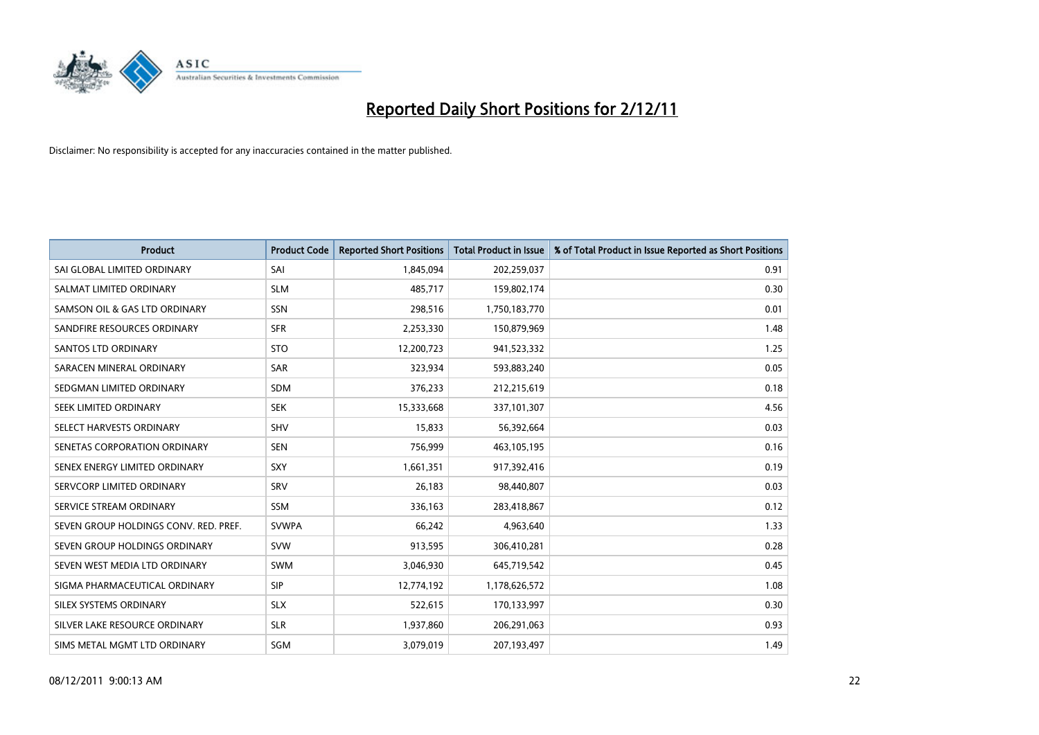

| <b>Product</b>                        | <b>Product Code</b> | <b>Reported Short Positions</b> | <b>Total Product in Issue</b> | % of Total Product in Issue Reported as Short Positions |
|---------------------------------------|---------------------|---------------------------------|-------------------------------|---------------------------------------------------------|
| SAI GLOBAL LIMITED ORDINARY           | SAI                 | 1,845,094                       | 202,259,037                   | 0.91                                                    |
| SALMAT LIMITED ORDINARY               | <b>SLM</b>          | 485,717                         | 159,802,174                   | 0.30                                                    |
| SAMSON OIL & GAS LTD ORDINARY         | SSN                 | 298,516                         | 1,750,183,770                 | 0.01                                                    |
| SANDFIRE RESOURCES ORDINARY           | <b>SFR</b>          | 2,253,330                       | 150,879,969                   | 1.48                                                    |
| <b>SANTOS LTD ORDINARY</b>            | <b>STO</b>          | 12,200,723                      | 941,523,332                   | 1.25                                                    |
| SARACEN MINERAL ORDINARY              | <b>SAR</b>          | 323,934                         | 593,883,240                   | 0.05                                                    |
| SEDGMAN LIMITED ORDINARY              | <b>SDM</b>          | 376,233                         | 212,215,619                   | 0.18                                                    |
| SEEK LIMITED ORDINARY                 | <b>SEK</b>          | 15,333,668                      | 337,101,307                   | 4.56                                                    |
| SELECT HARVESTS ORDINARY              | <b>SHV</b>          | 15,833                          | 56,392,664                    | 0.03                                                    |
| SENETAS CORPORATION ORDINARY          | <b>SEN</b>          | 756,999                         | 463,105,195                   | 0.16                                                    |
| SENEX ENERGY LIMITED ORDINARY         | <b>SXY</b>          | 1,661,351                       | 917,392,416                   | 0.19                                                    |
| SERVCORP LIMITED ORDINARY             | SRV                 | 26,183                          | 98,440,807                    | 0.03                                                    |
| SERVICE STREAM ORDINARY               | <b>SSM</b>          | 336,163                         | 283,418,867                   | 0.12                                                    |
| SEVEN GROUP HOLDINGS CONV. RED. PREF. | <b>SVWPA</b>        | 66,242                          | 4,963,640                     | 1.33                                                    |
| SEVEN GROUP HOLDINGS ORDINARY         | <b>SVW</b>          | 913,595                         | 306,410,281                   | 0.28                                                    |
| SEVEN WEST MEDIA LTD ORDINARY         | <b>SWM</b>          | 3,046,930                       | 645,719,542                   | 0.45                                                    |
| SIGMA PHARMACEUTICAL ORDINARY         | <b>SIP</b>          | 12,774,192                      | 1,178,626,572                 | 1.08                                                    |
| SILEX SYSTEMS ORDINARY                | <b>SLX</b>          | 522,615                         | 170,133,997                   | 0.30                                                    |
| SILVER LAKE RESOURCE ORDINARY         | <b>SLR</b>          | 1,937,860                       | 206,291,063                   | 0.93                                                    |
| SIMS METAL MGMT LTD ORDINARY          | SGM                 | 3,079,019                       | 207,193,497                   | 1.49                                                    |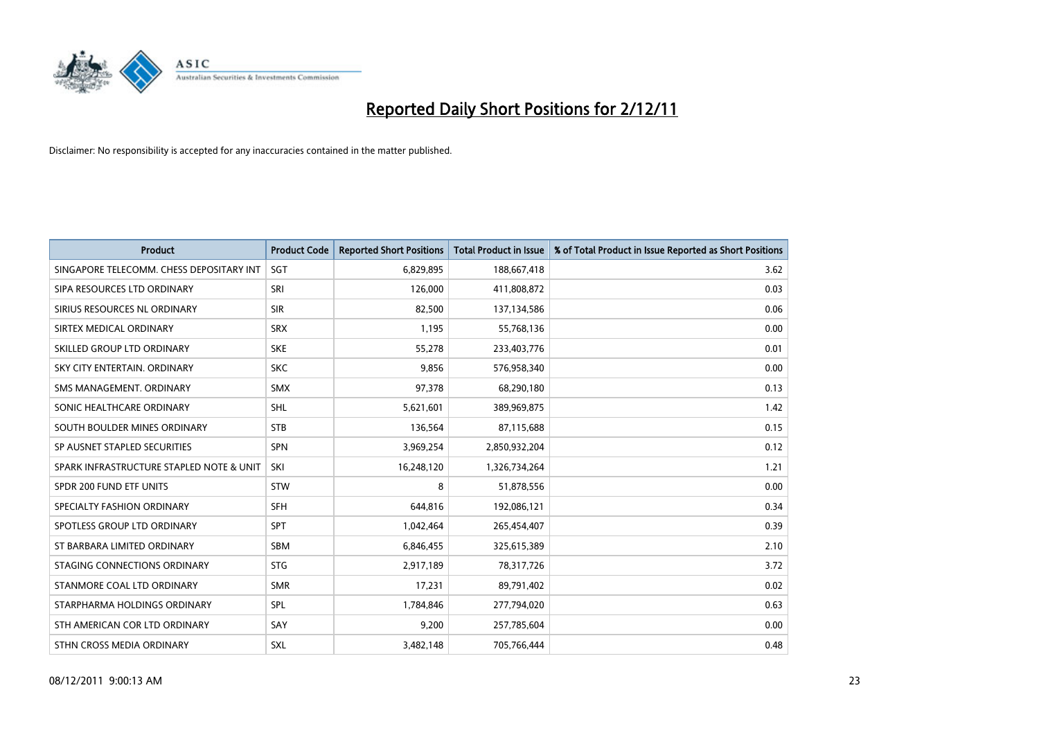

| <b>Product</b>                           | <b>Product Code</b> | <b>Reported Short Positions</b> | <b>Total Product in Issue</b> | % of Total Product in Issue Reported as Short Positions |
|------------------------------------------|---------------------|---------------------------------|-------------------------------|---------------------------------------------------------|
| SINGAPORE TELECOMM. CHESS DEPOSITARY INT | SGT                 | 6,829,895                       | 188,667,418                   | 3.62                                                    |
| SIPA RESOURCES LTD ORDINARY              | SRI                 | 126,000                         | 411,808,872                   | 0.03                                                    |
| SIRIUS RESOURCES NL ORDINARY             | <b>SIR</b>          | 82,500                          | 137,134,586                   | 0.06                                                    |
| SIRTEX MEDICAL ORDINARY                  | <b>SRX</b>          | 1,195                           | 55,768,136                    | 0.00                                                    |
| SKILLED GROUP LTD ORDINARY               | <b>SKE</b>          | 55,278                          | 233,403,776                   | 0.01                                                    |
| SKY CITY ENTERTAIN, ORDINARY             | <b>SKC</b>          | 9,856                           | 576,958,340                   | 0.00                                                    |
| SMS MANAGEMENT. ORDINARY                 | <b>SMX</b>          | 97,378                          | 68,290,180                    | 0.13                                                    |
| SONIC HEALTHCARE ORDINARY                | <b>SHL</b>          | 5,621,601                       | 389,969,875                   | 1.42                                                    |
| SOUTH BOULDER MINES ORDINARY             | <b>STB</b>          | 136,564                         | 87,115,688                    | 0.15                                                    |
| SP AUSNET STAPLED SECURITIES             | <b>SPN</b>          | 3,969,254                       | 2,850,932,204                 | 0.12                                                    |
| SPARK INFRASTRUCTURE STAPLED NOTE & UNIT | SKI                 | 16,248,120                      | 1,326,734,264                 | 1.21                                                    |
| SPDR 200 FUND ETF UNITS                  | <b>STW</b>          | 8                               | 51,878,556                    | 0.00                                                    |
| SPECIALTY FASHION ORDINARY               | <b>SFH</b>          | 644,816                         | 192,086,121                   | 0.34                                                    |
| SPOTLESS GROUP LTD ORDINARY              | <b>SPT</b>          | 1,042,464                       | 265,454,407                   | 0.39                                                    |
| ST BARBARA LIMITED ORDINARY              | <b>SBM</b>          | 6,846,455                       | 325,615,389                   | 2.10                                                    |
| STAGING CONNECTIONS ORDINARY             | <b>STG</b>          | 2,917,189                       | 78,317,726                    | 3.72                                                    |
| STANMORE COAL LTD ORDINARY               | <b>SMR</b>          | 17,231                          | 89,791,402                    | 0.02                                                    |
| STARPHARMA HOLDINGS ORDINARY             | SPL                 | 1,784,846                       | 277,794,020                   | 0.63                                                    |
| STH AMERICAN COR LTD ORDINARY            | SAY                 | 9,200                           | 257,785,604                   | 0.00                                                    |
| STHN CROSS MEDIA ORDINARY                | <b>SXL</b>          | 3,482,148                       | 705,766,444                   | 0.48                                                    |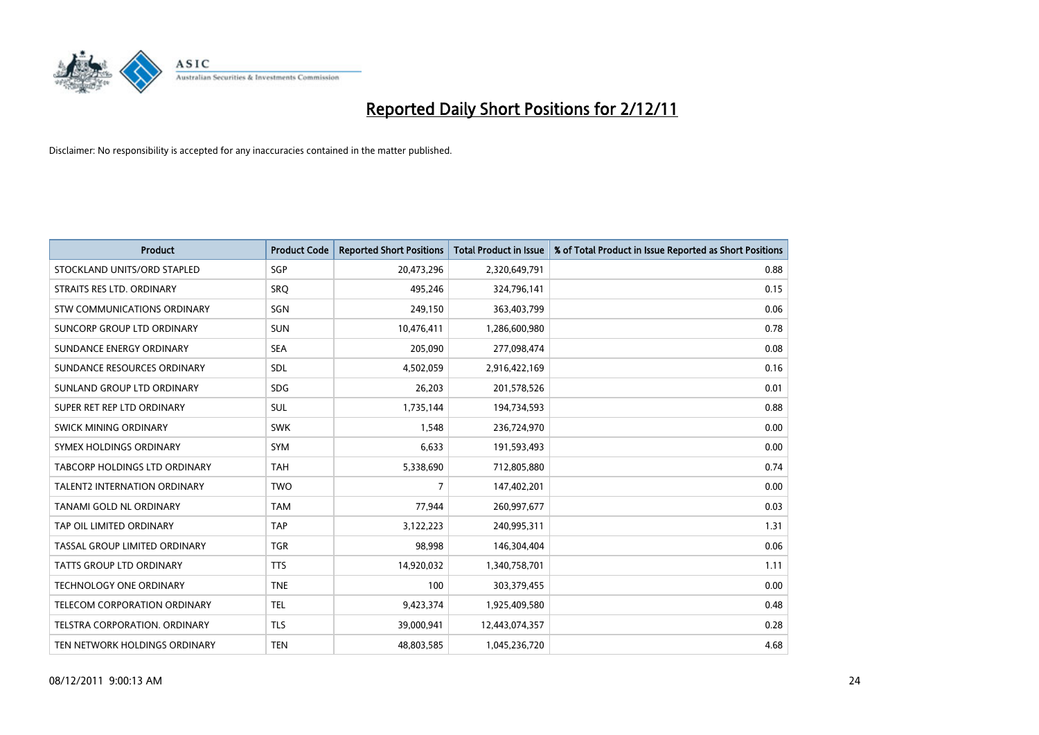

| <b>Product</b>                       | <b>Product Code</b> | <b>Reported Short Positions</b> | <b>Total Product in Issue</b> | % of Total Product in Issue Reported as Short Positions |
|--------------------------------------|---------------------|---------------------------------|-------------------------------|---------------------------------------------------------|
| STOCKLAND UNITS/ORD STAPLED          | <b>SGP</b>          | 20,473,296                      | 2,320,649,791                 | 0.88                                                    |
| STRAITS RES LTD. ORDINARY            | SRO                 | 495,246                         | 324,796,141                   | 0.15                                                    |
| STW COMMUNICATIONS ORDINARY          | SGN                 | 249,150                         | 363,403,799                   | 0.06                                                    |
| SUNCORP GROUP LTD ORDINARY           | <b>SUN</b>          | 10,476,411                      | 1,286,600,980                 | 0.78                                                    |
| SUNDANCE ENERGY ORDINARY             | <b>SEA</b>          | 205,090                         | 277,098,474                   | 0.08                                                    |
| SUNDANCE RESOURCES ORDINARY          | <b>SDL</b>          | 4,502,059                       | 2,916,422,169                 | 0.16                                                    |
| SUNLAND GROUP LTD ORDINARY           | <b>SDG</b>          | 26,203                          | 201,578,526                   | 0.01                                                    |
| SUPER RET REP LTD ORDINARY           | <b>SUL</b>          | 1,735,144                       | 194,734,593                   | 0.88                                                    |
| SWICK MINING ORDINARY                | <b>SWK</b>          | 1,548                           | 236,724,970                   | 0.00                                                    |
| SYMEX HOLDINGS ORDINARY              | <b>SYM</b>          | 6,633                           | 191,593,493                   | 0.00                                                    |
| TABCORP HOLDINGS LTD ORDINARY        | <b>TAH</b>          | 5,338,690                       | 712,805,880                   | 0.74                                                    |
| <b>TALENT2 INTERNATION ORDINARY</b>  | <b>TWO</b>          | 7                               | 147,402,201                   | 0.00                                                    |
| TANAMI GOLD NL ORDINARY              | <b>TAM</b>          | 77,944                          | 260,997,677                   | 0.03                                                    |
| TAP OIL LIMITED ORDINARY             | <b>TAP</b>          | 3,122,223                       | 240,995,311                   | 1.31                                                    |
| TASSAL GROUP LIMITED ORDINARY        | <b>TGR</b>          | 98,998                          | 146,304,404                   | 0.06                                                    |
| TATTS GROUP LTD ORDINARY             | <b>TTS</b>          | 14,920,032                      | 1,340,758,701                 | 1.11                                                    |
| TECHNOLOGY ONE ORDINARY              | <b>TNE</b>          | 100                             | 303,379,455                   | 0.00                                                    |
| TELECOM CORPORATION ORDINARY         | <b>TEL</b>          | 9,423,374                       | 1,925,409,580                 | 0.48                                                    |
| <b>TELSTRA CORPORATION, ORDINARY</b> | <b>TLS</b>          | 39,000,941                      | 12,443,074,357                | 0.28                                                    |
| TEN NETWORK HOLDINGS ORDINARY        | <b>TEN</b>          | 48,803,585                      | 1,045,236,720                 | 4.68                                                    |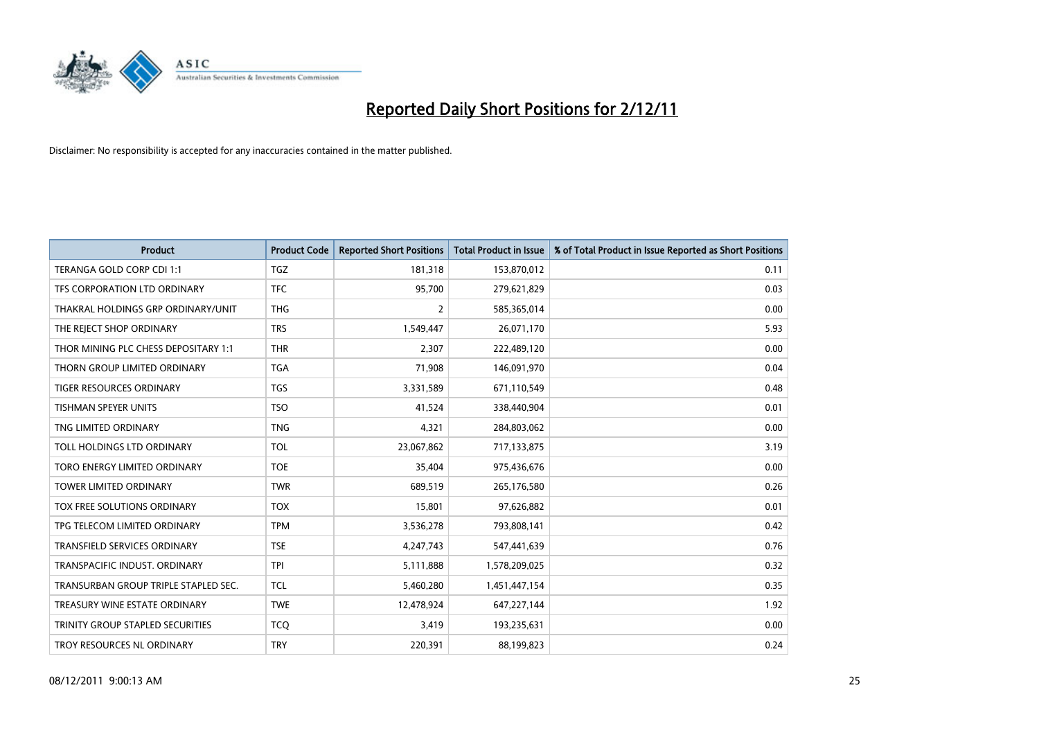

| <b>Product</b>                       | <b>Product Code</b> | <b>Reported Short Positions</b> | <b>Total Product in Issue</b> | % of Total Product in Issue Reported as Short Positions |
|--------------------------------------|---------------------|---------------------------------|-------------------------------|---------------------------------------------------------|
| TERANGA GOLD CORP CDI 1:1            | <b>TGZ</b>          | 181,318                         | 153,870,012                   | 0.11                                                    |
| TFS CORPORATION LTD ORDINARY         | <b>TFC</b>          | 95,700                          | 279,621,829                   | 0.03                                                    |
| THAKRAL HOLDINGS GRP ORDINARY/UNIT   | <b>THG</b>          | 2                               | 585,365,014                   | 0.00                                                    |
| THE REJECT SHOP ORDINARY             | <b>TRS</b>          | 1,549,447                       | 26,071,170                    | 5.93                                                    |
| THOR MINING PLC CHESS DEPOSITARY 1:1 | <b>THR</b>          | 2,307                           | 222,489,120                   | 0.00                                                    |
| THORN GROUP LIMITED ORDINARY         | <b>TGA</b>          | 71,908                          | 146,091,970                   | 0.04                                                    |
| TIGER RESOURCES ORDINARY             | <b>TGS</b>          | 3,331,589                       | 671,110,549                   | 0.48                                                    |
| TISHMAN SPEYER UNITS                 | <b>TSO</b>          | 41,524                          | 338,440,904                   | 0.01                                                    |
| TNG LIMITED ORDINARY                 | <b>TNG</b>          | 4,321                           | 284,803,062                   | 0.00                                                    |
| TOLL HOLDINGS LTD ORDINARY           | <b>TOL</b>          | 23,067,862                      | 717,133,875                   | 3.19                                                    |
| TORO ENERGY LIMITED ORDINARY         | <b>TOE</b>          | 35,404                          | 975,436,676                   | 0.00                                                    |
| <b>TOWER LIMITED ORDINARY</b>        | <b>TWR</b>          | 689,519                         | 265,176,580                   | 0.26                                                    |
| <b>TOX FREE SOLUTIONS ORDINARY</b>   | <b>TOX</b>          | 15,801                          | 97,626,882                    | 0.01                                                    |
| TPG TELECOM LIMITED ORDINARY         | <b>TPM</b>          | 3,536,278                       | 793,808,141                   | 0.42                                                    |
| <b>TRANSFIELD SERVICES ORDINARY</b>  | <b>TSE</b>          | 4,247,743                       | 547,441,639                   | 0.76                                                    |
| TRANSPACIFIC INDUST. ORDINARY        | <b>TPI</b>          | 5,111,888                       | 1,578,209,025                 | 0.32                                                    |
| TRANSURBAN GROUP TRIPLE STAPLED SEC. | <b>TCL</b>          | 5,460,280                       | 1,451,447,154                 | 0.35                                                    |
| TREASURY WINE ESTATE ORDINARY        | <b>TWE</b>          | 12,478,924                      | 647,227,144                   | 1.92                                                    |
| TRINITY GROUP STAPLED SECURITIES     | <b>TCQ</b>          | 3,419                           | 193,235,631                   | 0.00                                                    |
| TROY RESOURCES NL ORDINARY           | <b>TRY</b>          | 220,391                         | 88,199,823                    | 0.24                                                    |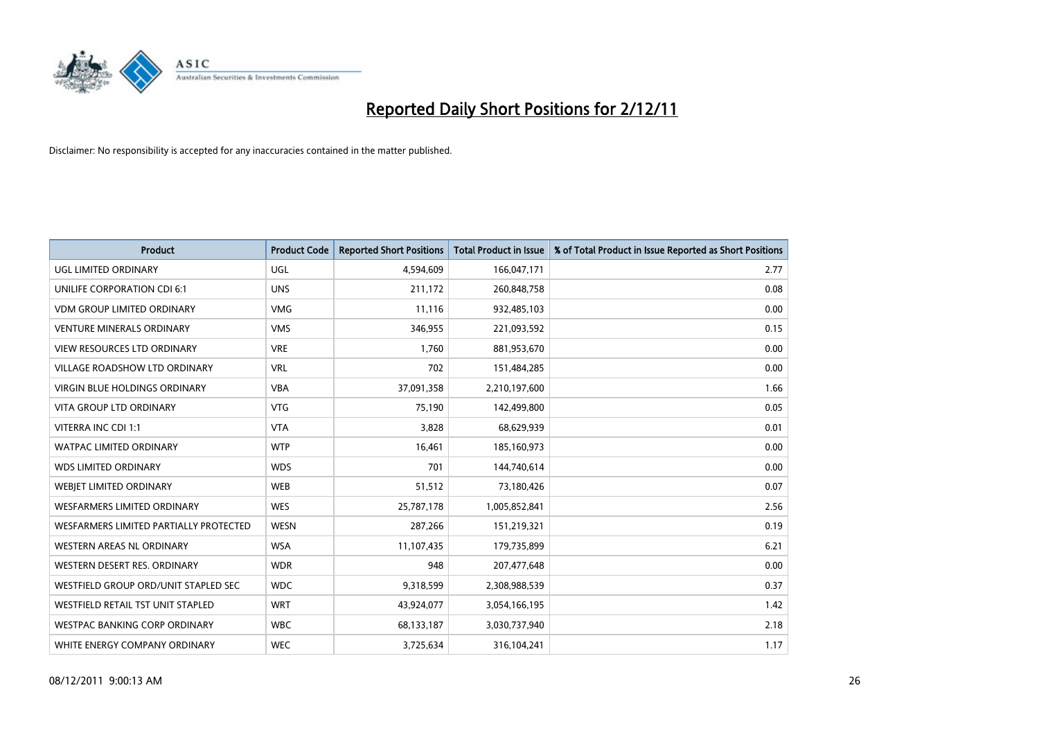

| <b>Product</b>                         | <b>Product Code</b> | <b>Reported Short Positions</b> | <b>Total Product in Issue</b> | % of Total Product in Issue Reported as Short Positions |
|----------------------------------------|---------------------|---------------------------------|-------------------------------|---------------------------------------------------------|
| UGL LIMITED ORDINARY                   | <b>UGL</b>          | 4,594,609                       | 166,047,171                   | 2.77                                                    |
| UNILIFE CORPORATION CDI 6:1            | <b>UNS</b>          | 211,172                         | 260,848,758                   | 0.08                                                    |
| <b>VDM GROUP LIMITED ORDINARY</b>      | <b>VMG</b>          | 11,116                          | 932,485,103                   | 0.00                                                    |
| <b>VENTURE MINERALS ORDINARY</b>       | <b>VMS</b>          | 346,955                         | 221,093,592                   | 0.15                                                    |
| <b>VIEW RESOURCES LTD ORDINARY</b>     | <b>VRE</b>          | 1.760                           | 881,953,670                   | 0.00                                                    |
| <b>VILLAGE ROADSHOW LTD ORDINARY</b>   | <b>VRL</b>          | 702                             | 151,484,285                   | 0.00                                                    |
| <b>VIRGIN BLUE HOLDINGS ORDINARY</b>   | <b>VBA</b>          | 37,091,358                      | 2,210,197,600                 | 1.66                                                    |
| <b>VITA GROUP LTD ORDINARY</b>         | <b>VTG</b>          | 75,190                          | 142,499,800                   | 0.05                                                    |
| VITERRA INC CDI 1:1                    | <b>VTA</b>          | 3,828                           | 68,629,939                    | 0.01                                                    |
| <b>WATPAC LIMITED ORDINARY</b>         | <b>WTP</b>          | 16,461                          | 185,160,973                   | 0.00                                                    |
| <b>WDS LIMITED ORDINARY</b>            | <b>WDS</b>          | 701                             | 144,740,614                   | 0.00                                                    |
| WEBJET LIMITED ORDINARY                | <b>WEB</b>          | 51,512                          | 73,180,426                    | 0.07                                                    |
| <b>WESFARMERS LIMITED ORDINARY</b>     | <b>WES</b>          | 25,787,178                      | 1,005,852,841                 | 2.56                                                    |
| WESFARMERS LIMITED PARTIALLY PROTECTED | <b>WESN</b>         | 287.266                         | 151,219,321                   | 0.19                                                    |
| WESTERN AREAS NL ORDINARY              | <b>WSA</b>          | 11,107,435                      | 179,735,899                   | 6.21                                                    |
| WESTERN DESERT RES. ORDINARY           | <b>WDR</b>          | 948                             | 207,477,648                   | 0.00                                                    |
| WESTFIELD GROUP ORD/UNIT STAPLED SEC   | <b>WDC</b>          | 9,318,599                       | 2,308,988,539                 | 0.37                                                    |
| WESTFIELD RETAIL TST UNIT STAPLED      | <b>WRT</b>          | 43,924,077                      | 3,054,166,195                 | 1.42                                                    |
| <b>WESTPAC BANKING CORP ORDINARY</b>   | <b>WBC</b>          | 68,133,187                      | 3,030,737,940                 | 2.18                                                    |
| WHITE ENERGY COMPANY ORDINARY          | <b>WEC</b>          | 3,725,634                       | 316,104,241                   | 1.17                                                    |